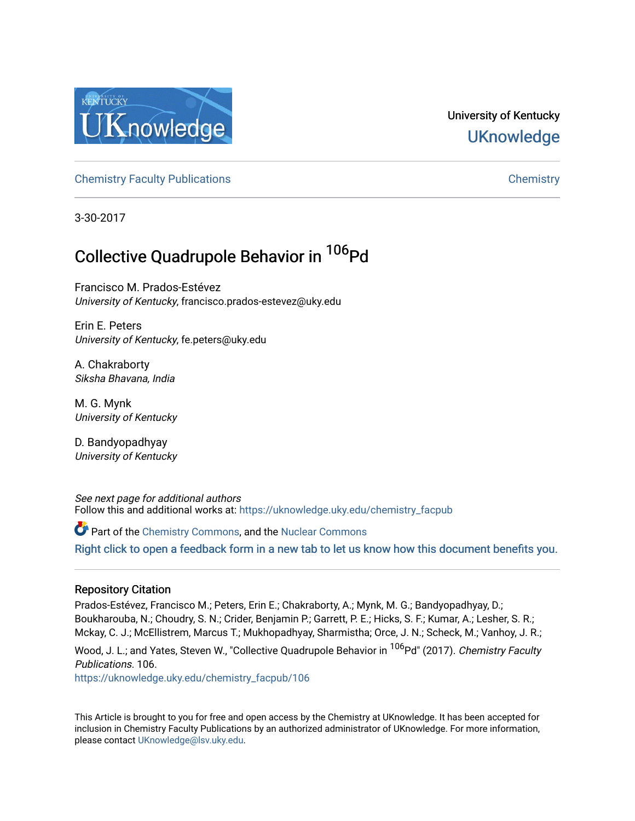

# University of Kentucky **UKnowledge**

[Chemistry Faculty Publications](https://uknowledge.uky.edu/chemistry_facpub) [Chemistry](https://uknowledge.uky.edu/chemistry) 

3-30-2017

# Collective Quadrupole Behavior in <sup>106</sup>Pd

Francisco M. Prados-Estévez University of Kentucky, francisco.prados-estevez@uky.edu

Erin E. Peters University of Kentucky, fe.peters@uky.edu

A. Chakraborty Siksha Bhavana, India

M. G. Mynk University of Kentucky

D. Bandyopadhyay University of Kentucky

See next page for additional authors Follow this and additional works at: [https://uknowledge.uky.edu/chemistry\\_facpub](https://uknowledge.uky.edu/chemistry_facpub?utm_source=uknowledge.uky.edu%2Fchemistry_facpub%2F106&utm_medium=PDF&utm_campaign=PDFCoverPages) 

Part of the [Chemistry Commons,](http://network.bepress.com/hgg/discipline/131?utm_source=uknowledge.uky.edu%2Fchemistry_facpub%2F106&utm_medium=PDF&utm_campaign=PDFCoverPages) and the [Nuclear Commons](http://network.bepress.com/hgg/discipline/203?utm_source=uknowledge.uky.edu%2Fchemistry_facpub%2F106&utm_medium=PDF&utm_campaign=PDFCoverPages) 

[Right click to open a feedback form in a new tab to let us know how this document benefits you.](https://uky.az1.qualtrics.com/jfe/form/SV_9mq8fx2GnONRfz7)

### Repository Citation

Prados-Estévez, Francisco M.; Peters, Erin E.; Chakraborty, A.; Mynk, M. G.; Bandyopadhyay, D.; Boukharouba, N.; Choudry, S. N.; Crider, Benjamin P.; Garrett, P. E.; Hicks, S. F.; Kumar, A.; Lesher, S. R.; Mckay, C. J.; McEllistrem, Marcus T.; Mukhopadhyay, Sharmistha; Orce, J. N.; Scheck, M.; Vanhoy, J. R.;

Wood, J. L.; and Yates, Steven W., "Collective Quadrupole Behavior in <sup>106</sup>Pd" (2017). Chemistry Faculty Publications. 106.

[https://uknowledge.uky.edu/chemistry\\_facpub/106](https://uknowledge.uky.edu/chemistry_facpub/106?utm_source=uknowledge.uky.edu%2Fchemistry_facpub%2F106&utm_medium=PDF&utm_campaign=PDFCoverPages) 

This Article is brought to you for free and open access by the Chemistry at UKnowledge. It has been accepted for inclusion in Chemistry Faculty Publications by an authorized administrator of UKnowledge. For more information, please contact [UKnowledge@lsv.uky.edu.](mailto:UKnowledge@lsv.uky.edu)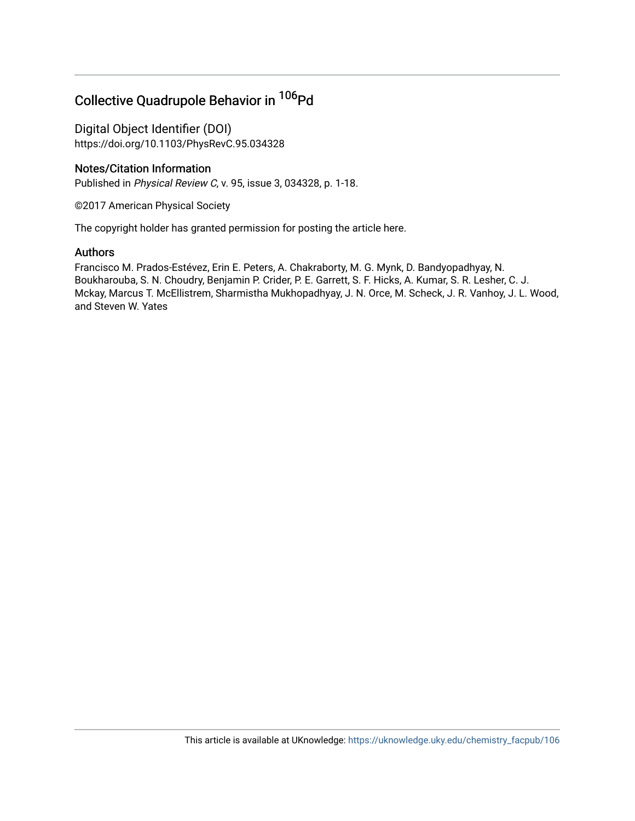# Collective Quadrupole Behavior in <sup>106</sup>Pd

Digital Object Identifier (DOI) https://doi.org/10.1103/PhysRevC.95.034328

### Notes/Citation Information

Published in Physical Review C, v. 95, issue 3, 034328, p. 1-18.

©2017 American Physical Society

The copyright holder has granted permission for posting the article here.

### Authors

Francisco M. Prados-Estévez, Erin E. Peters, A. Chakraborty, M. G. Mynk, D. Bandyopadhyay, N. Boukharouba, S. N. Choudry, Benjamin P. Crider, P. E. Garrett, S. F. Hicks, A. Kumar, S. R. Lesher, C. J. Mckay, Marcus T. McEllistrem, Sharmistha Mukhopadhyay, J. N. Orce, M. Scheck, J. R. Vanhoy, J. L. Wood, and Steven W. Yates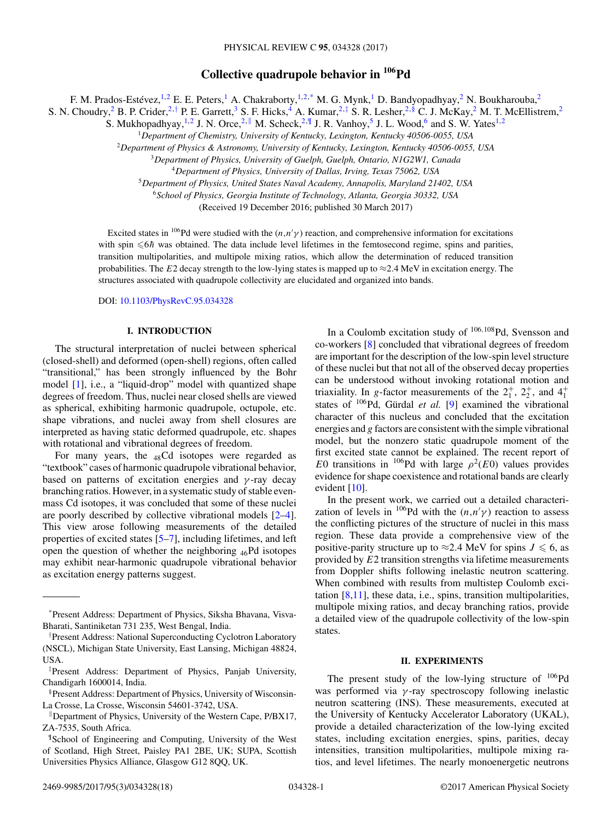## **Collective quadrupole behavior in 106Pd**

F. M. Prados-Estévez,<sup>1,2</sup> E. E. Peters,<sup>1</sup> A. Chakraborty,<sup>1,2,\*</sup> M. G. Mynk,<sup>1</sup> D. Bandyopadhyay,<sup>2</sup> N. Boukharouba,<sup>2</sup>

S. N. Choudry,<sup>2</sup> B. P. Crider,<sup>2,†</sup> P. E. Garrett,<sup>3</sup> S. F. Hicks,<sup>4</sup> A. Kumar,<sup>2,‡</sup> S. R. Lesher,<sup>2,§</sup> C. J. McKay,<sup>2</sup> M. T. McEllistrem,<sup>2</sup>

S. Mukhopadhyay, <sup>1,2</sup> J. N. Orce,<sup>2, ||</sup> M. Scheck,<sup>2, ||</sup> J. R. Vanhoy,<sup>5</sup> J. L. Wood,<sup>6</sup> and S. W. Yates<sup>1,2</sup>

<sup>1</sup>*Department of Chemistry, University of Kentucky, Lexington, Kentucky 40506-0055, USA*

<sup>2</sup>*Department of Physics & Astronomy, University of Kentucky, Lexington, Kentucky 40506-0055, USA*

<sup>4</sup>*Department of Physics, University of Dallas, Irving, Texas 75062, USA*

<sup>5</sup>*Department of Physics, United States Naval Academy, Annapolis, Maryland 21402, USA*

<sup>6</sup>*School of Physics, Georgia Institute of Technology, Atlanta, Georgia 30332, USA*

(Received 19 December 2016; published 30 March 2017)

Excited states in <sup>106</sup>Pd were studied with the  $(n, n' \gamma)$  reaction, and comprehensive information for excitations the spin  $\leq 6h$  was obtained. The data include level lifetimes in the femtosecond regime, spins and parit with spin  $\leq 6\hbar$  was obtained. The data include level lifetimes in the femtosecond regime, spins and parities, transition multipole rition multipole mixing ratios, which allow the determination of reduced transition transition multipolarities, and multipole mixing ratios, which allow the determination of reduced transition probabilities. The E2 decay strength to the low-lying states is mapped up to  $\approx$ 2.4 MeV in excitation energy. The structures associated with quadrupole collectivity are elucidated and organized into bands.

DOI: [10.1103/PhysRevC.95.034328](https://doi.org/10.1103/PhysRevC.95.034328)

#### **I. INTRODUCTION**

The structural interpretation of nuclei between spherical (closed-shell) and deformed (open-shell) regions, often called "transitional," has been strongly influenced by the Bohr model [\[1\]](#page-19-0), i.e., a "liquid-drop" model with quantized shape degrees of freedom. Thus, nuclei near closed shells are viewed as spherical, exhibiting harmonic quadrupole, octupole, etc. shape vibrations, and nuclei away from shell closures are interpreted as having static deformed quadrupole, etc. shapes with rotational and vibrational degrees of freedom.

For many years, the  $_{48}$ Cd isotopes were regarded as "textbook" cases of harmonic quadrupole vibrational behavior, based on patterns of excitation energies and  $\gamma$ -ray decay branching ratios. However, in a systematic study of stable evenmass Cd isotopes, it was concluded that some of these nuclei are poorly described by collective vibrational models [\[2–4\]](#page-19-0). This view arose following measurements of the detailed properties of excited states [\[5–7\]](#page-19-0), including lifetimes, and left open the question of whether the neighboring  $_{46}Pd$  isotopes may exhibit near-harmonic quadrupole vibrational behavior as excitation energy patterns suggest.

In a Coulomb excitation study of  $106,108$ Pd, Svensson and co-workers [\[8\]](#page-19-0) concluded that vibrational degrees of freedom are important for the description of the low-spin level structure of these nuclei but that not all of the observed decay properties can be understood without invoking rotational motion and triaxiality. In g-factor measurements of the  $2_1^+, 2_2^+,$  and  $4_1^+$ <br>states of <sup>106</sup>Pd. Gürdal *et al.* [0] examined the vibrational states of 106Pd, Gürdal *et al.* [\[9\]](#page-19-0) examined the vibrational character of this nucleus and concluded that the excitation energies and g factors are consistent with the simple vibrational model, but the nonzero static quadrupole moment of the first excited state cannot be explained. The recent report of E0 transitions in <sup>106</sup>Pd with large  $\rho^2(E0)$  values provides evidence for shape coexistence and rotational bands are clearly evident  $[10]$ .

In the present work, we carried out a detailed characterization of levels in <sup>106</sup>Pd with the  $(n,n'\gamma)$  reaction to assess<br>the conflicting pictures of the structure of nuclei in this mass the conflicting pictures of the structure of nuclei in this mass region. These data provide a comprehensive view of the positive-parity structure up to  $\approx$  2.4 MeV for spins  $J \le 6$ , as provided by  $E_2$  transition strengths via lifetime measurements provided by E2 transition strengths via lifetime measurements from Doppler shifts following inelastic neutron scattering. When combined with results from multistep Coulomb excitation [\[8,11\]](#page-19-0), these data, i.e., spins, transition multipolarities, multipole mixing ratios, and decay branching ratios, provide a detailed view of the quadrupole collectivity of the low-spin states.

#### **II. EXPERIMENTS**

The present study of the low-lying structure of  $^{106}Pd$ was performed via  $\gamma$ -ray spectroscopy following inelastic neutron scattering (INS). These measurements, executed at the University of Kentucky Accelerator Laboratory (UKAL), provide a detailed characterization of the low-lying excited states, including excitation energies, spins, parities, decay intensities, transition multipolarities, multipole mixing ratios, and level lifetimes. The nearly monoenergetic neutrons

<sup>3</sup>*Department of Physics, University of Guelph, Guelph, Ontario, N1G2W1, Canada*

<sup>\*</sup>Present Address: Department of Physics, Siksha Bhavana, Visva-Bharati, Santiniketan 731 235, West Bengal, India.

<sup>†</sup> Present Address: National Superconducting Cyclotron Laboratory (NSCL), Michigan State University, East Lansing, Michigan 48824, USA.

<sup>‡</sup> Present Address: Department of Physics, Panjab University, Chandigarh 1600014, India.

<sup>§</sup>Present Address: Department of Physics, University of Wisconsin-La Crosse, La Crosse, Wisconsin 54601-3742, USA.

<sup>-</sup>Department of Physics, University of the Western Cape, P/BX17, ZA-7535, South Africa.

<sup>¶</sup> School of Engineering and Computing, University of the West of Scotland, High Street, Paisley PA1 2BE, UK; SUPA, Scottish Universities Physics Alliance, Glasgow G12 8QQ, UK.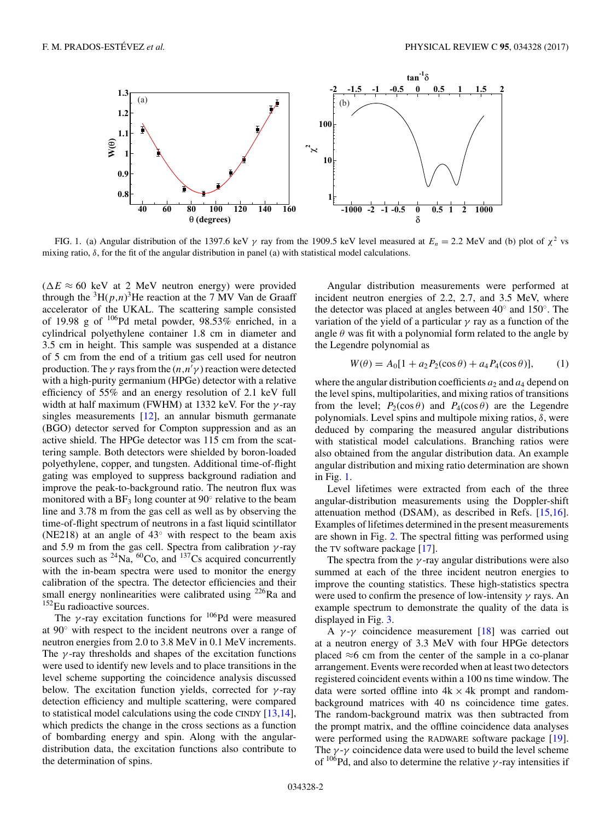

FIG. 1. (a) Angular distribution of the 1397.6 keV  $\gamma$  ray from the 1909.5 keV level measured at  $E_n = 2.2$  MeV and (b) plot of  $\chi^2$  vs mixing ratio,  $\delta$ , for the fit of the angular distribution in panel (a) with statistical model calculations.

 $(\Delta E \approx 60 \text{ keV}$  at 2 MeV neutron energy) were provided through the  ${}^{3}H(p,n){}^{3}He$  reaction at the 7 MV Van de Graaff<br>accelerator of the UKAL. The scattering sample consisted accelerator of the UKAL. The scattering sample consisted of 19.98 g of  $^{106}$ Pd metal powder, 98.53% enriched, in a cylindrical polyethylene container 1.8 cm in diameter and 3.5 cm in height. This sample was suspended at a distance of 5 cm from the end of a tritium gas cell used for neutron production. The *γ* rays from the  $(n, n' \gamma)$  reaction were detected<br>with a high-purity germanium (HPGe) detector with a relative with a high-purity germanium (HPGe) detector with a relative efficiency of 55% and an energy resolution of 2.1 keV full width at half maximum (FWHM) at 1332 keV. For the  $\gamma$ -ray singles measurements [\[12\]](#page-19-0), an annular bismuth germanate (BGO) detector served for Compton suppression and as an active shield. The HPGe detector was 115 cm from the scattering sample. Both detectors were shielded by boron-loaded polyethylene, copper, and tungsten. Additional time-of-flight gating was employed to suppress background radiation and improve the peak-to-background ratio. The neutron flux was monitored with a  $BF_3$  long counter at  $90^\circ$  relative to the beam line and 3.78 m from the gas cell as well as by observing the time-of-flight spectrum of neutrons in a fast liquid scintillator (NE218) at an angle of  $43°$  with respect to the beam axis and 5.9 m from the gas cell. Spectra from calibration  $\gamma$ -ray sources such as  $^{24}$ Na,  $^{60}$ Co, and  $^{137}$ Cs acquired concurrently with the in-beam spectra were used to monitor the energy calibration of the spectra. The detector efficiencies and their small energy nonlinearities were calibrated using  $226$ Ra and <sup>152</sup>Eu radioactive sources.

The  $\gamma$ -ray excitation functions for <sup>106</sup>Pd were measured at 90◦ with respect to the incident neutrons over a range of neutron energies from 2.0 to 3.8 MeV in 0.1 MeV increments. The  $\gamma$ -ray thresholds and shapes of the excitation functions were used to identify new levels and to place transitions in the level scheme supporting the coincidence analysis discussed below. The excitation function yields, corrected for  $\gamma$ -ray detection efficiency and multiple scattering, were compared to statistical model calculations using the code CINDY [\[13,14\]](#page-19-0), which predicts the change in the cross sections as a function of bombarding energy and spin. Along with the angulardistribution data, the excitation functions also contribute to the determination of spins.

Angular distribution measurements were performed at incident neutron energies of 2.2, 2.7, and 3.5 MeV, where the detector was placed at angles between 40◦ and 150◦. The variation of the yield of a particular  $\gamma$  ray as a function of the angle  $\theta$  was fit with a polynomial form related to the angle by the Legendre polynomial as

$$
W(\theta) = A_0[1 + a_2 P_2(\cos \theta) + a_4 P_4(\cos \theta)],
$$
 (1)

where the angular distribution coefficients  $a_2$  and  $a_4$  depend on the level spins, multipolarities, and mixing ratios of transitions from the level;  $P_2(\cos \theta)$  and  $P_4(\cos \theta)$  are the Legendre polynomials. Level spins and multipole mixing ratios,  $\delta$ , were deduced by comparing the measured angular distributions with statistical model calculations. Branching ratios were also obtained from the angular distribution data. An example angular distribution and mixing ratio determination are shown in Fig. 1.

Level lifetimes were extracted from each of the three angular-distribution measurements using the Doppler-shift attenuation method (DSAM), as described in Refs. [\[15,16\]](#page-19-0). Examples of lifetimes determined in the present measurements are shown in Fig. [2.](#page-4-0) The spectral fitting was performed using the TV software package [\[17\]](#page-19-0).

The spectra from the  $\gamma$ -ray angular distributions were also summed at each of the three incident neutron energies to improve the counting statistics. These high-statistics spectra were used to confirm the presence of low-intensity  $\gamma$  rays. An example spectrum to demonstrate the quality of the data is displayed in Fig. [3.](#page-4-0)

A  $\gamma$ -γ coincidence measurement [\[18\]](#page-19-0) was carried out at a neutron energy of 3.3 MeV with four HPGe detectors placed ≈6 cm from the center of the sample in a co-planar arrangement. Events were recorded when at least two detectors registered coincident events within a 100 ns time window. The data were sorted offline into  $4k \times 4k$  prompt and randombackground matrices with 40 ns coincidence time gates. The random-background matrix was then subtracted from the prompt matrix, and the offline coincidence data analyses were performed using the RADWARE software package [\[19\]](#page-19-0). The  $\gamma$ - $\gamma$  coincidence data were used to build the level scheme of  $106Pd$ , and also to determine the relative  $\gamma$ -ray intensities if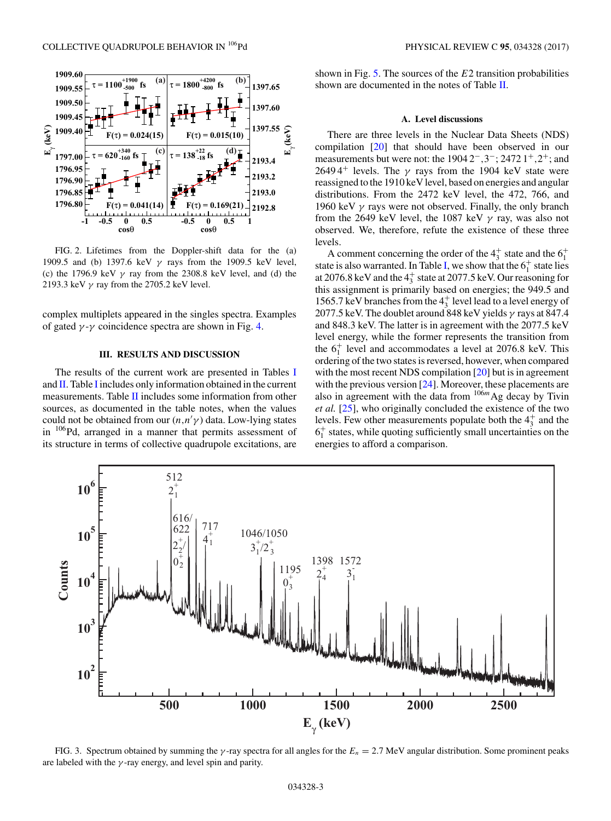<span id="page-4-0"></span>

FIG. 2. Lifetimes from the Doppler-shift data for the (a) 1909.5 and (b) 1397.6 keV  $\gamma$  rays from the 1909.5 keV level, (c) the 1796.9 keV  $\gamma$  ray from the 2308.8 keV level, and (d) the 2193.3 keV  $\gamma$  ray from the 2705.2 keV level.

complex multiplets appeared in the singles spectra. Examples of gated  $\gamma$ - $\gamma$  coincidence spectra are shown in Fig. [4.](#page-5-0)

#### **III. RESULTS AND DISCUSSION**

The results of the current work are presented in Tables [I](#page-6-0) and  $II$  $II$ . Table I includes only information obtained in the current measurements. Table [II](#page-12-0) includes some information from other sources, as documented in the table notes, when the values could not be obtained from our  $(n, n'/\gamma)$  data. Low-lying states<br>in  $^{106}Pd$  arranged in a manner that permits assessment of in 106Pd, arranged in a manner that permits assessment of its structure in terms of collective quadrupole excitations, are shown in Fig.  $5$ . The sources of the  $E2$  transition probabilities shown are documented in the notes of Table [II.](#page-12-0)

#### **A. Level discussions**

There are three levels in the Nuclear Data Sheets (NDS) compilation [\[20\]](#page-19-0) that should have been observed in our measurements but were not: the 1904 2<sup>−</sup>,3−; 2472 1<sup>+</sup>,2+; and 2649 4<sup>+</sup> levels. The  $\gamma$  rays from the 1904 keV state were reassigned to the 1910 keV level, based on energies and angular distributions. From the 2472 keV level, the 472, 766, and 1960 keV  $\gamma$  rays were not observed. Finally, the only branch from the 2649 keV level, the 1087 keV  $\gamma$  ray, was also not observed. We, therefore, refute the existence of these three levels.

A comment concerning the order of the  $4^+_3$  state and the  $6^+_1$ state is also warranted. In Table [I,](#page-6-0) we show that the  $6<sub>1</sub><sup>+</sup>$  state lies at 2076.8 keV and the  $4^{+}_{3}$  state at 2077.5 keV. Our reasoning for this assignment is primarily based on energies; the 949.5 and 1565.7 keV branches from the  $4^+_3$  level lead to a level energy of 2077.5 keV. The doublet around 848 keV yields  $\gamma$  rays at 847.4 and 848.3 keV. The latter is in agreement with the 2077.5 keV level energy, while the former represents the transition from the  $6<sub>1</sub><sup>+</sup>$  level and accommodates a level at 2076.8 keV. This ordering of the two states is reversed, however, when compared with the most recent NDS compilation [\[20\]](#page-19-0) but is in agreement with the previous version [\[24\]](#page-19-0). Moreover, these placements are also in agreement with the data from  $10^{6m}$  Ag decay by Tivin *et al.* [\[25\]](#page-19-0), who originally concluded the existence of the two levels. Few other measurements populate both the  $4^+_3$  and the  $6<sub>1</sub><sup>+</sup>$  states, while quoting sufficiently small uncertainties on the energies to afford a comparison.



FIG. 3. Spectrum obtained by summing the  $\gamma$ -ray spectra for all angles for the  $E_n = 2.7$  MeV angular distribution. Some prominent peaks are labeled with the  $\gamma$ -ray energy, and level spin and parity.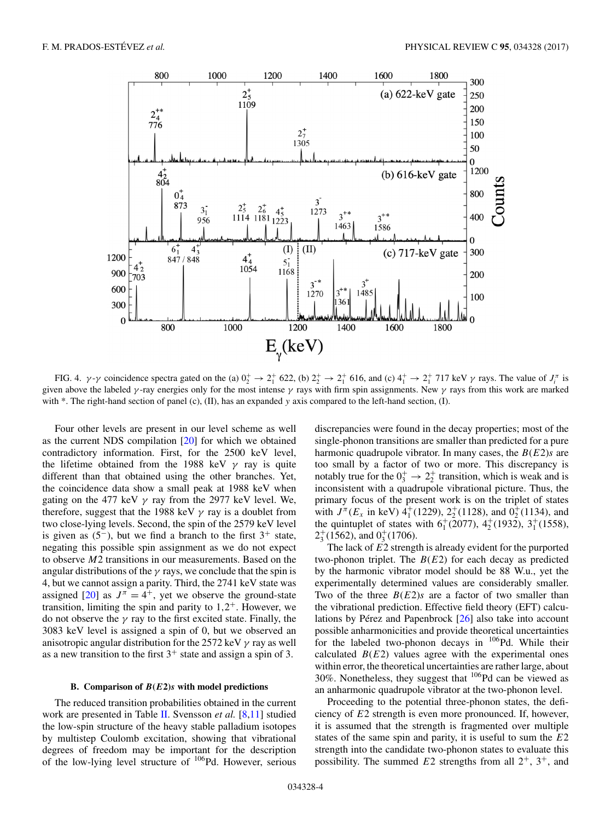<span id="page-5-0"></span>

FIG. 4.  $\gamma$ - $\gamma$  coincidence spectra gated on the (a)  $0^+_2 \rightarrow 2^+_1$  622, (b)  $2^+_2 \rightarrow 2^+_1$  616, and (c)  $4^+_1 \rightarrow 2^+_1$  717 keV  $\gamma$  rays. The value of  $J_i^{\pi}$  is given above the labeled  $\gamma$ -ray energies only for the most intense  $\gamma$  rays with firm spin assignments. New  $\gamma$  rays from this work are marked with  $*$ . The right-hand section of panel (c), (II), has an expanded y axis compared to the left-hand section, (I).

Four other levels are present in our level scheme as well as the current NDS compilation [\[20\]](#page-19-0) for which we obtained contradictory information. First, for the 2500 keV level, the lifetime obtained from the 1988 keV  $\gamma$  ray is quite different than that obtained using the other branches. Yet, the coincidence data show a small peak at 1988 keV when gating on the 477 keV  $\gamma$  ray from the 2977 keV level. We, therefore, suggest that the 1988 keV  $\gamma$  ray is a doublet from two close-lying levels. Second, the spin of the 2579 keV level is given as  $(5^-)$ , but we find a branch to the first  $3^+$  state, negating this possible spin assignment as we do not expect to observe M2 transitions in our measurements. Based on the angular distributions of the  $\gamma$  rays, we conclude that the spin is 4, but we cannot assign a parity. Third, the 2741 keV state was assigned [\[20\]](#page-19-0) as  $J^{\pi} = 4^{+}$ , yet we observe the ground-state transition, limiting the spin and parity to  $1,2^+$ . However, we do not observe the  $\gamma$  ray to the first excited state. Finally, the 3083 keV level is assigned a spin of 0, but we observed an anisotropic angular distribution for the 2572 keV  $\gamma$  ray as well as a new transition to the first  $3^+$  state and assign a spin of 3.

#### **B. Comparison of** *B***(***E***2)***s* **with model predictions**

The reduced transition probabilities obtained in the current work are presented in Table [II.](#page-12-0) Svensson *et al.* [\[8,11\]](#page-19-0) studied the low-spin structure of the heavy stable palladium isotopes by multistep Coulomb excitation, showing that vibrational degrees of freedom may be important for the description of the low-lying level structure of 106Pd. However, serious

discrepancies were found in the decay properties; most of the single-phonon transitions are smaller than predicted for a pure harmonic quadrupole vibrator. In many cases, the  $B(E2)s$  are too small by a factor of two or more. This discrepancy is notably true for the  $0_3^+ \rightarrow 2_2^+$  transition, which is weak and is inconsistent with a quadrupole vibrational picture. Thus, the primary focus of the present work is on the triplet of states with  $J^{\pi}(E_x$  in keV)  $4^+_1(1229)$ ,  $2^+_2(1128)$ , and  $0^+_2(1134)$ , and<br>the quintuplet of states with 6<sup>+</sup>(2077)  $4^+_2(1932)$ , 3<sup>+</sup>(1558) the quintuplet of states with  $6<sub>1</sub><sup>+</sup>(2077)$ ,  $4<sub>2</sub><sup>+</sup>(1932)$ ,  $3<sub>1</sub><sup>+</sup>(1558)$ ,  $2^+_3(1562)$ , and  $0^+_3(1706)$ .

The lack of  $E2$  strength is already evident for the purported two-phonon triplet. The  $B(E2)$  for each decay as predicted by the harmonic vibrator model should be 88 W.u., yet the experimentally determined values are considerably smaller. Two of the three  $B(E2)s$  are a factor of two smaller than the vibrational prediction. Effective field theory (EFT) calculations by Pérez and Papenbrock [\[26\]](#page-19-0) also take into account possible anharmonicities and provide theoretical uncertainties for the labeled two-phonon decays in  $106Pd$ . While their calculated  $B(E2)$  values agree with the experimental ones within error, the theoretical uncertainties are rather large, about 30%. Nonetheless, they suggest that 106Pd can be viewed as an anharmonic quadrupole vibrator at the two-phonon level.

Proceeding to the potential three-phonon states, the deficiency of E2 strength is even more pronounced. If, however, it is assumed that the strength is fragmented over multiple states of the same spin and parity, it is useful to sum the  $E2$ strength into the candidate two-phonon states to evaluate this possibility. The summed  $E2$  strengths from all  $2^+$ ,  $3^+$ , and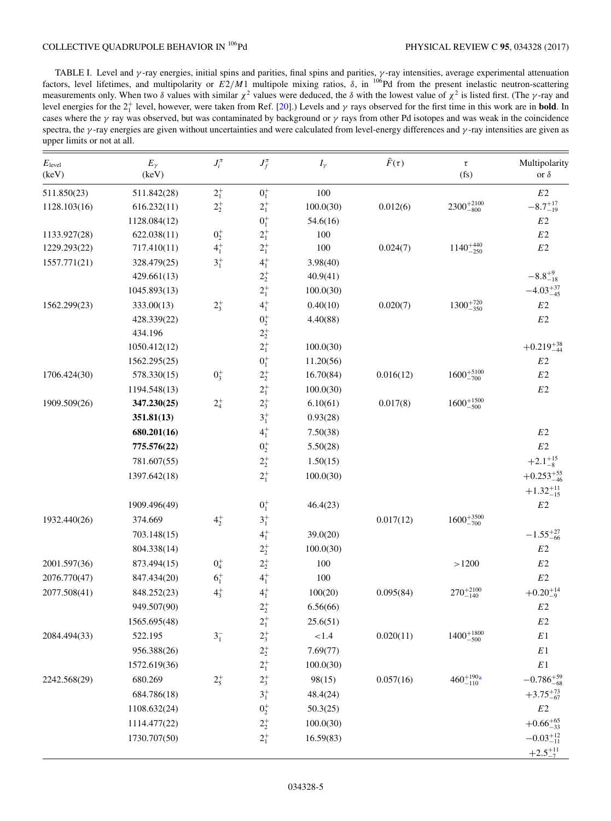<span id="page-6-0"></span>TABLE I. Level and  $\gamma$ -ray energies, initial spins and parities, final spins and parities,  $\gamma$ -ray intensities, average experimental attenuation factors, level lifetimes, and multipolarity or  $E2/M1$  multipole mixing ratios,  $\delta$ , in <sup>106</sup>Pd from the present inelastic neutron-scattering measurements only. When two  $\delta$  values with similar  $\chi^2$  values were deduced, the  $\delta$  with the lowest value of  $\chi^2$  is listed first. (The  $\gamma$ -ray and level energies for the 2<sup>+</sup> level, however, were taken from Ref. cases where the  $\gamma$  ray was observed, but was contaminated by background or  $\gamma$  rays from other Pd isotopes and was weak in the coincidence spectra, the  $\gamma$ -ray energies are given without uncertainties and were calculated from level-energy differences and  $\gamma$ -ray intensities are given as upper limits or not at all.

| $E_{\text{level}}$<br>(keV) | $E_{\gamma}$<br>(keV) | $J_i^{\pi}$ | $J_f^{\pi}$                                   | $I_{\gamma}$ | $\bar{F}(\tau)$ | $\tau$<br>(fs)        | Multipolarity<br>or $\delta$ |
|-----------------------------|-----------------------|-------------|-----------------------------------------------|--------------|-----------------|-----------------------|------------------------------|
| 511.850(23)                 | 511.842(28)           | $2^{+}_{1}$ | $0^{+}_{1}$                                   | 100          |                 |                       | $E2\,$                       |
| 1128.103(16)                | 616.232(11)           | $2^+_2$     | $2^{+}_{1}$                                   | 100.0(30)    | 0.012(6)        | $2300^{+2100}_{-800}$ | $-8.7^{+17}_{-19}$           |
|                             | 1128.084(12)          |             | $0^+_1$                                       | 54.6(16)     |                 |                       | E <sub>2</sub>               |
| 1133.927(28)                | 622.038(11)           | $0^{+}_{2}$ | $2^{+}_{1}$                                   | 100          |                 |                       | $E2\,$                       |
| 1229.293(22)                | 717.410(11)           | $4^{+}_{1}$ | $2^+_1$                                       | 100          | 0.024(7)        | $1140^{+440}_{-250}$  | $E2\,$                       |
| 1557.771(21)                | 328.479(25)           | $3^{+}_{1}$ | $4^{+}_{1}$                                   | 3.98(40)     |                 |                       |                              |
|                             | 429.661(13)           |             | $2^+_{2}$                                     | 40.9(41)     |                 |                       | $-8.8^{+9}_{-18}$            |
|                             | 1045.893(13)          |             | $2^{+}_{1}$                                   | 100.0(30)    |                 |                       | $-4.03_{-45}^{+37}$          |
| 1562.299(23)                | 333.00(13)            | $2^{+}_{3}$ | $4^{+}_{1}$                                   | 0.40(10)     | 0.020(7)        | $1300^{+720}_{-350}$  | $E2\,$                       |
|                             | 428.339(22)           |             | $0^+_2$                                       | 4.40(88)     |                 |                       | E2                           |
|                             | 434.196               |             |                                               |              |                 |                       |                              |
|                             | 1050.412(12)          |             | $\begin{array}{c} 2^+_2 \\ 2^+_1 \end{array}$ | 100.0(30)    |                 |                       | $+0.219_{-44}^{+38}$         |
|                             | 1562.295(25)          |             | $0^+_1$                                       | 11.20(56)    |                 |                       | $E2\,$                       |
| 1706.424(30)                | 578.330(15)           | $0_3^+$     | $2^+_2$                                       | 16.70(84)    | 0.016(12)       | $1600^{+5100}_{-700}$ | $E2\,$                       |
|                             | 1194.548(13)          |             | $2^{+}_{1}$                                   | 100.0(30)    |                 |                       | $E2\,$                       |
| 1909.509(26)                | 347.230(25)           | $2^{+}_{4}$ | $2^+_3$                                       | 6.10(61)     | 0.017(8)        | $1600^{+1500}_{-500}$ |                              |
|                             | 351.81(13)            |             | $3^{+}_{1}$                                   | 0.93(28)     |                 |                       |                              |
|                             | 680.201(16)           |             | $4^{+}_{1}$                                   | 7.50(38)     |                 |                       | $E2\,$                       |
|                             | 775.576(22)           |             | $0^+_2$                                       | 5.50(28)     |                 |                       | $E2\,$                       |
|                             | 781.607(55)           |             | $2^{+}_{2}$                                   | 1.50(15)     |                 |                       | $+2.1^{+15}_{-8}$            |
|                             | 1397.642(18)          |             | $2^{+}_{1}$                                   | 100.0(30)    |                 |                       | $+0.253_{-46}^{+55}$         |
|                             |                       |             |                                               |              |                 |                       | $+1.32_{-15}^{+11}$          |
|                             | 1909.496(49)          |             | $0^+_1$                                       | 46.4(23)     |                 |                       | $E2$                         |
| 1932.440(26)                | 374.669               | $4^{+}_{2}$ | $3^{+}_{1}$                                   |              | 0.017(12)       | $1600^{+3500}_{-700}$ |                              |
|                             | 703.148(15)           |             | $4^{+}_{1}$                                   | 39.0(20)     |                 |                       | $-1.55_{-66}^{+27}$          |
|                             | 804.338(14)           |             | $2^+_2$                                       | 100.0(30)    |                 |                       | $E2\,$                       |
| 2001.597(36)                | 873.494(15)           | $0^{+}_{4}$ | $2^{+}_{2}$                                   | 100          |                 | >1200                 | E2                           |
| 2076.770(47)                | 847.434(20)           | $6^{+}_{1}$ | $4^{+}_{1}$                                   | 100          |                 |                       | $E2\,$                       |
| 2077.508(41)                | 848.252(23)           | $4^{+}_{3}$ | $4^{+}_{1}$                                   | 100(20)      | 0.095(84)       | $270^{+2100}_{-140}$  | $+0.20_{-9}^{+14}$           |
|                             | 949.507(90)           |             | $2^+_2$                                       | 6.56(66)     |                 |                       | E2                           |
|                             | 1565.695(48)          |             | $2^{+}_{1}$                                   | 25.6(51)     |                 |                       | $E2\,$                       |
| 2084.494(33)                | 522.195               | $3^{-}_{1}$ |                                               | ${<}1.4$     | 0.020(11)       | $1400^{+1800}_{-500}$ | $E\sqrt{1}$                  |
|                             | 956.388(26)           |             | $\begin{matrix} 2_3^+ \ 2_2^+ \end{matrix}$   | 7.69(77)     |                 |                       | $E\,1$                       |
|                             | 1572.619(36)          |             | $2^{+}_{1}$                                   | 100.0(30)    |                 |                       | $E\,1$                       |
| 2242.568(29)                | 680.269               | $2^{+}_{5}$ | $2^{+}_{3}$                                   | 98(15)       | 0.057(16)       | $460^{+190a}_{-110}$  | $-0.786_{-68}^{+59}$         |
|                             | 684.786(18)           |             | $3^{+}_{1}$                                   | 48.4(24)     |                 |                       | $+3.75_{-67}^{+73}$          |
|                             | 1108.632(24)          |             | $0^+_2$                                       | 50.3(25)     |                 |                       | $E2\,$                       |
|                             | 1114.477(22)          |             | $2^+_2$                                       | 100.0(30)    |                 |                       | $+0.66^{+65}_{-33}$          |
|                             | 1730.707(50)          |             | $2^{+}_{1}$                                   | 16.59(83)    |                 |                       | $-0.03_{-11}^{+12}$          |
|                             |                       |             |                                               |              |                 |                       |                              |
|                             |                       |             |                                               |              |                 |                       | $+2.5^{+11}_{-7}$            |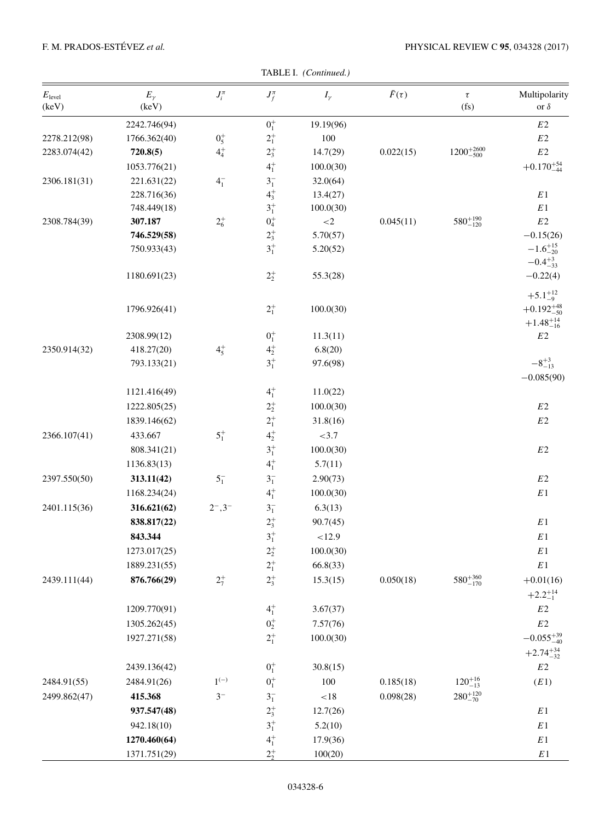| $E_{\text{level}}$<br>(keV) | $E_{\gamma}$<br>(keV) | $J_i^{\pi}$              | $J_f^{\pi}$      | $I_{\gamma}$ | $\bar{F}(\tau)$ | $\tau$<br>(fs)        | Multipolarity<br>or $\delta$                                     |
|-----------------------------|-----------------------|--------------------------|------------------|--------------|-----------------|-----------------------|------------------------------------------------------------------|
|                             | 2242.746(94)          |                          | $0^{+}_{1}$      | 19.19(96)    |                 |                       | $E2$                                                             |
| 2278.212(98)                | 1766.362(40)          | $0^+_5$                  | $2^+_1$          | 100          |                 |                       | $E2\,$                                                           |
| 2283.074(42)                | 720.8(5)              | $4^{+}_{4}$              | $2^{+}_{3}$      | 14.7(29)     | 0.022(15)       | $1200^{+2600}_{-500}$ | $E2\,$                                                           |
|                             | 1053.776(21)          |                          | $4^{+}_{1}$      | 100.0(30)    |                 |                       | $+0.170^{+54}_{-44}$                                             |
| 2306.181(31)                | 221.631(22)           | $4^{-}_{1}$              | $3^-_1$          | 32.0(64)     |                 |                       |                                                                  |
|                             | 228.716(36)           |                          | $4^{+}_{3}$      | 13.4(27)     |                 |                       | $E\sqrt{1}$                                                      |
|                             | 748.449(18)           |                          | $3^{+}_{1}$      | 100.0(30)    |                 |                       | $E\,1$                                                           |
| 2308.784(39)                | 307.187               | $2^{+}_{6}$              | $0^+_4$          | ${<}2$       | 0.045(11)       | $580^{+190}_{-120}$   | $E2\,$                                                           |
|                             | 746.529(58)           |                          | $2^{+}_{3}$      | 5.70(57)     |                 |                       | $-0.15(26)$                                                      |
|                             | 750.933(43)           |                          | $3^{+}_{1}$      | 5.20(52)     |                 |                       | $-1.6^{+15}_{-20}$<br>$-0.4^{+3}_{-33}$                          |
|                             | 1180.691(23)          |                          | $2^{+}_{2}$      | 55.3(28)     |                 |                       | $-0.22(4)$                                                       |
|                             | 1796.926(41)          |                          | $2^{+}_{1}$      | 100.0(30)    |                 |                       | $+5.1^{+12}_{-9}$<br>$+0.192^{+48}_{-50}$<br>$+1.48^{+14}_{-16}$ |
|                             | 2308.99(12)           |                          | $0^+_1$          | 11.3(11)     |                 |                       | $E2$                                                             |
| 2350.914(32)                | 418.27(20)            | $4^{+}_{5}$              | $\mathbf{4}^+_2$ | 6.8(20)      |                 |                       |                                                                  |
|                             | 793.133(21)           |                          | $3^{+}_{1}$      | 97.6(98)     |                 |                       | $-8^{+3}_{-13}$<br>$-0.085(90)$                                  |
|                             | 1121.416(49)          |                          | $4^{+}_{1}$      | 11.0(22)     |                 |                       |                                                                  |
|                             | 1222.805(25)          |                          | $2^+_2$          | 100.0(30)    |                 |                       | $E2\,$                                                           |
|                             | 1839.146(62)          |                          | $2^+_1$          | 31.8(16)     |                 |                       | $E2\,$                                                           |
| 2366.107(41)                | 433.667               | $5^{+}_{1}$              | $4^{+}_{2}$      | ${<}3.7$     |                 |                       |                                                                  |
|                             | 808.341(21)           |                          | $\mathbf{3}^+_1$ | 100.0(30)    |                 |                       | $E2\,$                                                           |
|                             | 1136.83(13)           |                          | $4^{+}_{1}$      | 5.7(11)      |                 |                       |                                                                  |
| 2397.550(50)                | 313.11(42)            | $5^{-}_{1}$              | $3^{-}_{1}$      | 2.90(73)     |                 |                       | $E2\,$                                                           |
|                             | 1168.234(24)          |                          | $4^{+}_{1}$      | 100.0(30)    |                 |                       | $\mathbb{E} \hspace{.01cm} 1$                                    |
| 2401.115(36)                | 316.621(62)           | $2^{-}$ , 3 <sup>-</sup> | $3^{-}_{1}$      | 6.3(13)      |                 |                       |                                                                  |
|                             | 838.817(22)           |                          | $2^+_3$          | 90.7(45)     |                 |                       | $\mathbb{E} \hspace{.01cm} 1$                                    |
|                             | 843.344               |                          | $3^{+}_{1}$      | < 12.9       |                 |                       | $\mathbb{E} \hspace{.01cm} 1$                                    |
|                             | 1273.017(25)          |                          | $2^{+}_{2}$      | 100.0(30)    |                 |                       | $E\,1$                                                           |
|                             | 1889.231(55)          |                          | $2^{+}_{1}$      | 66.8(33)     |                 |                       | $E\,1$                                                           |
| 2439.111(44)                | 876.766(29)           | $2^{+}_{7}$              | $2^{+}_{3}$      | 15.3(15)     | 0.050(18)       | $580^{+360}_{-170}$   | $+0.01(16)$                                                      |
|                             |                       |                          |                  |              |                 |                       |                                                                  |
|                             |                       |                          |                  |              |                 |                       | $+2.2^{+14}_{-1}$                                                |
|                             | 1209.770(91)          |                          | $4^{+}_{1}$      | 3.67(37)     |                 |                       | E <sub>2</sub>                                                   |
|                             | 1305.262(45)          |                          | $0^+_2$          | 7.57(76)     |                 |                       | $E2\,$                                                           |
|                             | 1927.271(58)          |                          | $2^{+}_{1}$      | 100.0(30)    |                 |                       | $-0.055_{-40}^{+39}$                                             |
|                             | 2439.136(42)          |                          | $0^+_1$          | 30.8(15)     |                 |                       | $+2.74_{-32}^{+34}$<br>$E2\,$                                    |
| 2484.91(55)                 | 2484.91(26)           | $1^{(-)}$                | $0^+_1$          | 100          | 0.185(18)       | $120^{+16}_{-13}$     | (E1)                                                             |
| 2499.862(47)                | 415.368               | $3^-$                    | $3^{-}_{1}$      | $<\!18$      | 0.098(28)       | $280^{+120}_{-70}$    |                                                                  |
|                             | 937.547(48)           |                          | $2^+_3$          | 12.7(26)     |                 |                       | $E\,1$                                                           |
|                             | 942.18(10)            |                          | $\mathbf{3}^+_1$ | 5.2(10)      |                 |                       | $E\,1$                                                           |
|                             | 1270.460(64)          |                          | $4^{+}_{1}$      | 17.9(36)     |                 |                       | $E\,1$                                                           |
|                             | 1371.751(29)          |                          | $2^{+}_{2}$      | 100(20)      |                 |                       | $E\,1$                                                           |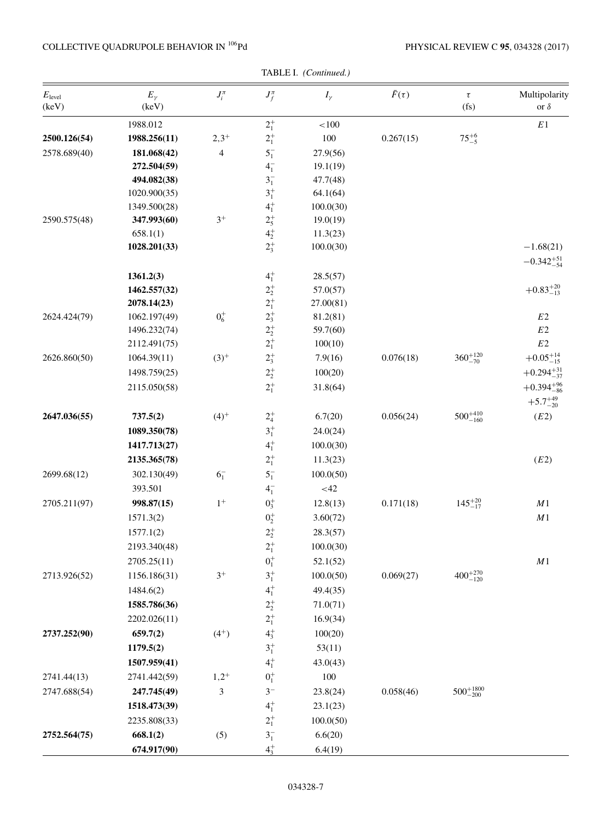| TABLE I. (Continued.)       |                       |                |                                                                         |              |                 |                        |                              |  |  |  |  |
|-----------------------------|-----------------------|----------------|-------------------------------------------------------------------------|--------------|-----------------|------------------------|------------------------------|--|--|--|--|
| $E_{\text{level}}$<br>(keV) | $E_{\gamma}$<br>(keV) | $J_i^{\pi}$    | $J_f^{\pi}$                                                             | $I_{\gamma}$ | $\bar{F}(\tau)$ | $\tau$<br>(fs)         | Multipolarity<br>or $\delta$ |  |  |  |  |
|                             | 1988.012              |                | $2^{+}_{1}$                                                             | ${<}100$     |                 |                        | $E\,1$                       |  |  |  |  |
| 2500.126(54)                | 1988.256(11)          | $2,3^{+}$      | $2^{+}_{1}$                                                             | $100\,$      | 0.267(15)       | $75^{+6}_{-5}$         |                              |  |  |  |  |
| 2578.689(40)                | 181.068(42)           | $\overline{4}$ | $5^{-}_{1}$                                                             | 27.9(56)     |                 |                        |                              |  |  |  |  |
|                             | 272.504(59)           |                | $4^{-}_{1}$                                                             | 19.1(19)     |                 |                        |                              |  |  |  |  |
|                             | 494.082(38)           |                | $3^{-}_{1}$                                                             | 47.7(48)     |                 |                        |                              |  |  |  |  |
|                             | 1020.900(35)          |                | $3^{+}_{1}$                                                             | 64.1(64)     |                 |                        |                              |  |  |  |  |
|                             | 1349.500(28)          |                | $4^{+}_{1}$                                                             | 100.0(30)    |                 |                        |                              |  |  |  |  |
| 2590.575(48)                | 347.993(60)           | $3^+$          | $2^{+}_{5}$                                                             | 19.0(19)     |                 |                        |                              |  |  |  |  |
|                             | 658.1(1)              |                | $4^{+}_{2}$                                                             | 11.3(23)     |                 |                        |                              |  |  |  |  |
|                             | 1028.201(33)          |                | $2^{+}_{3}$                                                             | 100.0(30)    |                 |                        | $-1.68(21)$                  |  |  |  |  |
|                             |                       |                |                                                                         |              |                 |                        | $-0.342_{-54}^{+51}$         |  |  |  |  |
|                             | 1361.2(3)             |                | $4^{+}_{1}$                                                             | 28.5(57)     |                 |                        |                              |  |  |  |  |
|                             | 1462.557(32)          |                |                                                                         | 57.0(57)     |                 |                        | $+0.83^{+20}_{-13}$          |  |  |  |  |
|                             | 2078.14(23)           |                | $2^{+}_{2}$<br>$2^{+}_{1}$<br>$2^{+}_{3}$<br>$2^{+}_{2}$<br>$2^{+}_{1}$ | 27.00(81)    |                 |                        |                              |  |  |  |  |
| 2624.424(79)                | 1062.197(49)          | $0^+_6$        |                                                                         | 81.2(81)     |                 |                        | $E2\,$                       |  |  |  |  |
|                             | 1496.232(74)          |                |                                                                         | 59.7(60)     |                 |                        | $E2\,$                       |  |  |  |  |
|                             | 2112.491(75)          |                |                                                                         | 100(10)      |                 |                        | $E2\,$                       |  |  |  |  |
| 2626.860(50)                | 1064.39(11)           | $(3)^{+}$      | $2^{+}_{3}$                                                             | 7.9(16)      | 0.076(18)       | $360^{+120}_{-70}$     | $+0.05^{+14}_{-15}$          |  |  |  |  |
|                             | 1498.759(25)          |                | $2^+_2$                                                                 | 100(20)      |                 |                        | $+0.294_{-37}^{+31}$         |  |  |  |  |
|                             | 2115.050(58)          |                | $2^{+}_{1}$                                                             | 31.8(64)     |                 |                        | $+0.394_{-86}^{+96}$         |  |  |  |  |
|                             |                       |                |                                                                         |              |                 |                        | $+5.7^{+49}_{-20}$           |  |  |  |  |
| 2647.036(55)                | 737.5(2)              | $(4)^+$        | $2^{+}_{4}$                                                             | 6.7(20)      | 0.056(24)       | $500^{+410}_{-160}$    | (E2)                         |  |  |  |  |
|                             | 1089.350(78)          |                | $3^{+}_{1}$                                                             | 24.0(24)     |                 |                        |                              |  |  |  |  |
|                             | 1417.713(27)          |                | $4^{+}_{1}$                                                             | 100.0(30)    |                 |                        |                              |  |  |  |  |
|                             | 2135.365(78)          |                | $2^{+}_{1}$                                                             | 11.3(23)     |                 |                        | (E2)                         |  |  |  |  |
| 2699.68(12)                 | 302.130(49)           | 6 <sub>1</sub> | $5^{-}_{1}$                                                             | 100.0(50)    |                 |                        |                              |  |  |  |  |
|                             | 393.501               |                | $4^{-}_{1}$                                                             | $<42$        |                 |                        |                              |  |  |  |  |
| 2705.211(97)                | 998.87(15)            | $1^+$          | $0_{3}^{+}$                                                             | 12.8(13)     | 0.171(18)       | $145^{+20}_{-17}$      | $\cal M1$                    |  |  |  |  |
|                             | 1571.3(2)             |                | $0^+_2$                                                                 | 3.60(72)     |                 |                        | $\cal M1$                    |  |  |  |  |
|                             | 1577.1(2)             |                |                                                                         | 28.3(57)     |                 |                        |                              |  |  |  |  |
|                             |                       |                | $2^+_2$                                                                 |              |                 |                        |                              |  |  |  |  |
|                             | 2193.340(48)          |                | $2^{+}_{1}$                                                             | 100.0(30)    |                 |                        |                              |  |  |  |  |
|                             | 2705.25(11)           |                | $0^+_1$                                                                 | 52.1(52)     |                 |                        | $\cal M1$                    |  |  |  |  |
| 2713.926(52)                | 1156.186(31)          | $3^+$          | $\mathbf{3}^+_1$                                                        | 100.0(50)    | 0.069(27)       | $400^{+270}_{-120}$    |                              |  |  |  |  |
|                             | 1484.6(2)             |                | $4^{+}_{1}$                                                             | 49.4(35)     |                 |                        |                              |  |  |  |  |
|                             | 1585.786(36)          |                | $2^+_2$                                                                 | 71.0(71)     |                 |                        |                              |  |  |  |  |
|                             | 2202.026(11)          |                | $2^{+}_{1}$                                                             | 16.9(34)     |                 |                        |                              |  |  |  |  |
| 2737.252(90)                | 659.7(2)              | $(4^{+})$      | $4^{+}_{3}$                                                             | 100(20)      |                 |                        |                              |  |  |  |  |
|                             | 1179.5(2)             |                | $3^{+}_{1}$                                                             | 53(11)       |                 |                        |                              |  |  |  |  |
|                             | 1507.959(41)          |                | $4^{+}_{1}$                                                             | 43.0(43)     |                 |                        |                              |  |  |  |  |
| 2741.44(13)                 | 2741.442(59)          | $1,2^{+}$      | $0^+_1$                                                                 | 100          |                 |                        |                              |  |  |  |  |
| 2747.688(54)                | 247.745(49)           | 3              | $3-$                                                                    | 23.8(24)     | 0.058(46)       | $500^{+1800}_{-200}\,$ |                              |  |  |  |  |
|                             | 1518.473(39)          |                | $4^{+}_{1}$                                                             | 23.1(23)     |                 |                        |                              |  |  |  |  |
|                             | 2235.808(33)          |                | $2^{+}_{1}$                                                             | 100.0(50)    |                 |                        |                              |  |  |  |  |
| 2752.564(75)                | 668.1(2)              | (5)            | $3^-_1$                                                                 | 6.6(20)      |                 |                        |                              |  |  |  |  |
|                             | 674.917(90)           |                | $4^{+}_{3}$                                                             | 6.4(19)      |                 |                        |                              |  |  |  |  |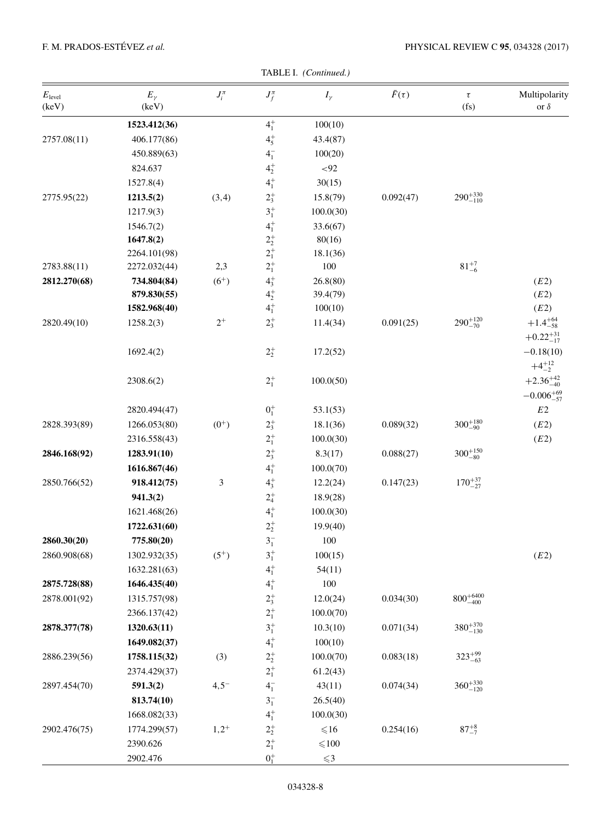| TABLE I. (Continued.) |
|-----------------------|
|                       |

| $E_{\rm level}$<br>(keV) | $E_{\gamma}$<br>(keV) | $J_i^{\pi}$    | $J_f^{\pi}$ | $I_{\gamma}$     | $\bar{F}(\tau)$ | $\tau$<br>(f <sub>S</sub> ) | Multipolarity<br>or $\delta$                |
|--------------------------|-----------------------|----------------|-------------|------------------|-----------------|-----------------------------|---------------------------------------------|
|                          | 1523.412(36)          |                | $4^{+}_{1}$ | 100(10)          |                 |                             |                                             |
| 2757.08(11)              | 406.177(86)           |                | $4^{+}_{5}$ | 43.4(87)         |                 |                             |                                             |
|                          | 450.889(63)           |                | $4^{-}_{1}$ | 100(20)          |                 |                             |                                             |
|                          | 824.637               |                | $4^{+}_{2}$ | ${<}92$          |                 |                             |                                             |
|                          | 1527.8(4)             |                | $4^{+}_{1}$ | 30(15)           |                 |                             |                                             |
| 2775.95(22)              | 1213.5(2)             | (3,4)          | $2^{+}_{3}$ | 15.8(79)         | 0.092(47)       | $290^{+330}_{-110}$         |                                             |
|                          | 1217.9(3)             |                | $3^{+}_{1}$ | 100.0(30)        |                 |                             |                                             |
|                          | 1546.7(2)             |                | $4^{+}_{1}$ | 33.6(67)         |                 |                             |                                             |
|                          | 1647.8(2)             |                | $2^{+}_{2}$ | 80(16)           |                 |                             |                                             |
|                          | 2264.101(98)          |                | $2^{+}_{1}$ | 18.1(36)         |                 |                             |                                             |
| 2783.88(11)              | 2272.032(44)          | 2,3            | $2^{+}_{1}$ | 100              |                 | $81^{+7}_{-6}$              |                                             |
| 2812.270(68)             | 734.804(84)           | $(6^{+})$      | $4^{+}_{3}$ | 26.8(80)         |                 |                             | (E2)                                        |
|                          | 879.830(55)           |                | $4^{+}_{2}$ | 39.4(79)         |                 |                             | (E2)                                        |
|                          | 1582.968(40)          |                | $4^{+}_{1}$ | 100(10)          |                 |                             | (E2)                                        |
| 2820.49(10)              | 1258.2(3)             | $2^+$          | $2^{+}_{3}$ | 11.4(34)         | 0.091(25)       | $290^{+120}_{-70}$          | $+1.4^{+64}_{-58}$<br>$+0.22^{+31}_{-17}$   |
|                          | 1692.4(2)             |                | $2^{+}_{2}$ | 17.2(52)         |                 |                             | $-0.18(10)$<br>$+4^{+12}_{-2}$              |
|                          | 2308.6(2)             |                | $2^{+}_{1}$ | 100.0(50)        |                 |                             | $+2.36^{+42}_{-40}$<br>$-0.006_{-57}^{+69}$ |
|                          | 2820.494(47)          |                | $0^+_1$     | 53.1(53)         |                 |                             | $E2\,$                                      |
| 2828.393(89)             | 1266.053(80)          | $(0^{+})$      | $2^{+}_{3}$ | 18.1(36)         | 0.089(32)       | $300^{+180}_{-90}$          | (E2)                                        |
|                          | 2316.558(43)          |                | $2^+_1$     | 100.0(30)        |                 |                             | (E2)                                        |
| 2846.168(92)             | 1283.91(10)           |                | $2^{+}_{3}$ | 8.3(17)          | 0.088(27)       | $300^{+150}_{-80}$          |                                             |
|                          | 1616.867(46)          |                | $4^{+}_{1}$ | 100.0(70)        |                 |                             |                                             |
| 2850.766(52)             | 918.412(75)           | $\mathfrak{Z}$ | $4^{+}_{3}$ | 12.2(24)         | 0.147(23)       | $170^{+37}_{-27}$           |                                             |
|                          | 941.3(2)              |                | $2^{+}_{4}$ | 18.9(28)         |                 |                             |                                             |
|                          | 1621.468(26)          |                | $4^{+}_{1}$ | 100.0(30)        |                 |                             |                                             |
|                          | 1722.631(60)          |                | $2^+_2$     | 19.9(40)         |                 |                             |                                             |
| 2860.30(20)              | 775.80(20)            |                | $3^{-}_{1}$ | 100              |                 |                             |                                             |
| 2860.908(68)             | 1302.932(35)          | $(5^{+})$      | $3^{+}_{1}$ | 100(15)          |                 |                             | (E2)                                        |
|                          | 1632.281(63)          |                | $4^{+}_{1}$ | 54(11)           |                 |                             |                                             |
| 2875.728(88)             | 1646.435(40)          |                | $4^{+}_{1}$ | 100              |                 |                             |                                             |
| 2878.001(92)             | 1315.757(98)          |                | $2^{+}_{3}$ | 12.0(24)         | 0.034(30)       | $800^{+6400}_{-400}\,$      |                                             |
|                          | 2366.137(42)          |                | $2^{+}_{1}$ | 100.0(70)        |                 |                             |                                             |
| 2878.377(78)             | 1320.63(11)           |                | $3^{+}_{1}$ | 10.3(10)         | 0.071(34)       | $380^{+370}_{-130}$         |                                             |
|                          | 1649.082(37)          |                | $4^{+}_{1}$ | 100(10)          |                 |                             |                                             |
| 2886.239(56)             | 1758.115(32)          | (3)            | $2^+_2$     | 100.0(70)        | 0.083(18)       | $323^{+99}_{-63}$           |                                             |
|                          | 2374.429(37)          |                | $2^{+}_{1}$ | 61.2(43)         |                 |                             |                                             |
| 2897.454(70)             | 591.3(2)              | $4,5^{-}$      | $4^{-}_{1}$ | 43(11)           | 0.074(34)       | $360^{+330}_{-120}$         |                                             |
|                          | 813.74(10)            |                | $3^{-}_{1}$ | 26.5(40)         |                 |                             |                                             |
|                          | 1668.082(33)          |                | $4^{+}_{1}$ | 100.0(30)        |                 |                             |                                             |
| 2902.476(75)             | 1774.299(57)          | $1,2^{+}$      | $2^+_2$     | ${\leqslant}16$  | 0.254(16)       | $87^{+8}_{-7}$              |                                             |
|                          | 2390.626              |                | $2^{+}_{1}$ | ${\leqslant}100$ |                 |                             |                                             |
|                          | 2902.476              |                | $0^{+}_{1}$ | $\leqslant$ 3    |                 |                             |                                             |
|                          |                       |                |             |                  |                 |                             |                                             |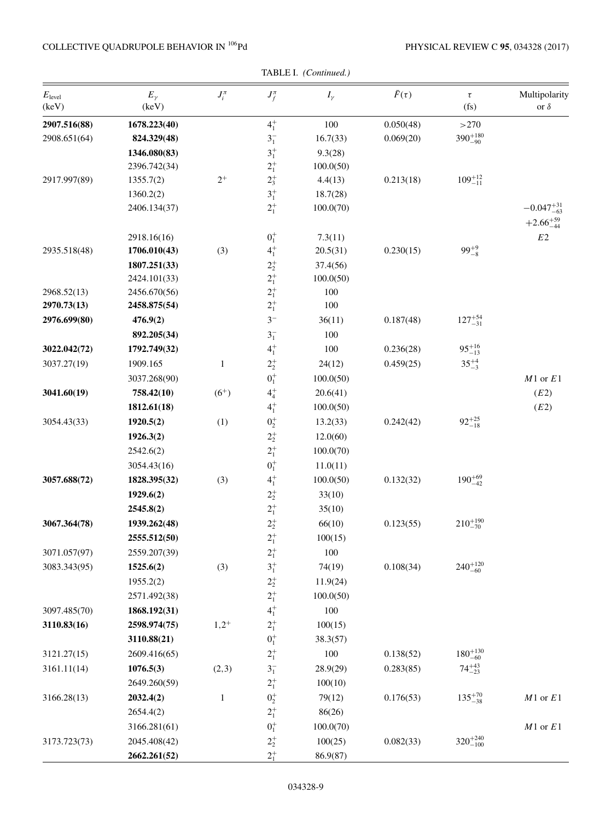## COLLECTIVE QUADRUPOLE BEHAVIOR IN  $^{106}\mathrm{Pd}$

| $E_{\text{level}}$<br>(keV) | $E_{\gamma}$<br>(keV) | $J_i^{\pi}$  | $J_f^{\pi}$ | $I_{\gamma}$ | $\bar{F}(\tau)$ | $\tau$<br>$(f_s)$   | Multipolarity<br>or $\delta$ |
|-----------------------------|-----------------------|--------------|-------------|--------------|-----------------|---------------------|------------------------------|
| 2907.516(88)                | 1678.223(40)          |              | $4^{+}_{1}$ | 100          | 0.050(48)       | >270                |                              |
| 2908.651(64)                | 824.329(48)           |              | $3^{-}_{1}$ | 16.7(33)     | 0.069(20)       | $390^{+180}_{-90}$  |                              |
|                             | 1346.080(83)          |              | $3^{+}_{1}$ | 9.3(28)      |                 |                     |                              |
|                             | 2396.742(34)          |              | $2^{+}_{1}$ | 100.0(50)    |                 |                     |                              |
| 2917.997(89)                | 1355.7(2)             | $2^+$        | $2^{+}_{3}$ | 4.4(13)      | 0.213(18)       | $109^{+12}_{-11}$   |                              |
|                             | 1360.2(2)             |              | $3^{+}_{1}$ | 18.7(28)     |                 |                     |                              |
|                             | 2406.134(37)          |              | $2^{+}_{1}$ | 100.0(70)    |                 |                     | $-0.047_{-63}^{+31}$         |
|                             |                       |              |             |              |                 |                     | $+2.66_{-44}^{+59}$          |
|                             | 2918.16(16)           |              | $0^+_1$     | 7.3(11)      |                 |                     | $E2\,$                       |
| 2935.518(48)                | 1706.010(43)          | (3)          | $4^{+}_{1}$ | 20.5(31)     | 0.230(15)       | $99^{+9}_{-8}$      |                              |
|                             | 1807.251(33)          |              | $2^+_2$     | 37.4(56)     |                 |                     |                              |
|                             | 2424.101(33)          |              | $2^{+}_{1}$ | 100.0(50)    |                 |                     |                              |
| 2968.52(13)                 | 2456.670(56)          |              | $2^{+}_{1}$ | 100          |                 |                     |                              |
| 2970.73(13)                 | 2458.875(54)          |              | $2^{+}_{1}$ | 100          |                 |                     |                              |
| 2976.699(80)                | 476.9(2)              |              | $3-$        | 36(11)       | 0.187(48)       | $127^{+54}_{-31}$   |                              |
|                             | 892.205(34)           |              | $3^{-}_{1}$ | 100          |                 |                     |                              |
| 3022.042(72)                | 1792.749(32)          |              | $4^{+}_{1}$ | 100          | 0.236(28)       | $95^{+16}_{-13}$    |                              |
| 3037.27(19)                 | 1909.165              | $\mathbf{1}$ | $2^{+}_{2}$ | 24(12)       | 0.459(25)       | $35^{+4}_{-3}$      |                              |
|                             | 3037.268(90)          |              | $0^{+}_{1}$ | 100.0(50)    |                 |                     | $M1$ or $E1$                 |
| 3041.60(19)                 | 758.42(10)            | $(6^{+})$    | $4^{+}_{4}$ | 20.6(41)     |                 |                     | (E2)                         |
|                             | 1812.61(18)           |              | $4^{+}_{1}$ | 100.0(50)    |                 |                     | (E2)                         |
| 3054.43(33)                 | 1920.5(2)             | (1)          | $0^+_2$     | 13.2(33)     | 0.242(42)       | $92^{+25}_{-18}$    |                              |
|                             | 1926.3(2)             |              | $2^{+}_{2}$ | 12.0(60)     |                 |                     |                              |
|                             | 2542.6(2)             |              | $2^{+}_{1}$ | 100.0(70)    |                 |                     |                              |
|                             | 3054.43(16)           |              | $0^+_1$     | 11.0(11)     |                 |                     |                              |
| 3057.688(72)                | 1828.395(32)          | (3)          | $4^{+}_{1}$ | 100.0(50)    | 0.132(32)       | $190^{+69}_{-42}$   |                              |
|                             | 1929.6(2)             |              | $2^+_2$     | 33(10)       |                 |                     |                              |
|                             | 2545.8(2)             |              | $2^{+}_{1}$ | 35(10)       |                 |                     |                              |
| 3067.364(78)                | 1939.262(48)          |              | $2^+_2$     | 66(10)       | 0.123(55)       | $210^{+190}_{-70}$  |                              |
|                             | 2555.512(50)          |              | $2^+_1$     | 100(15)      |                 |                     |                              |
| 3071.057(97)                | 2559.207(39)          |              | $2^{+}_{1}$ | 100          |                 |                     |                              |
| 3083.343(95)                | 1525.6(2)             | (3)          | $3^{+}_{1}$ | 74(19)       | 0.108(34)       | $240^{+120}_{-60}$  |                              |
|                             | 1955.2(2)             |              | $2^+_2$     | 11.9(24)     |                 |                     |                              |
|                             | 2571.492(38)          |              | $2^{+}_{1}$ | 100.0(50)    |                 |                     |                              |
| 3097.485(70)                | 1868.192(31)          |              | $4^{+}_{1}$ | 100          |                 |                     |                              |
| 3110.83(16)                 | 2598.974(75)          | $1,2^+$      | $2^{+}_{1}$ | 100(15)      |                 |                     |                              |
|                             | 3110.88(21)           |              | $0^+_1$     | 38.3(57)     |                 |                     |                              |
| 3121.27(15)                 | 2609.416(65)          |              | $2^{+}_{1}$ | 100          | 0.138(52)       | $180^{+130}_{-60}$  |                              |
| 3161.11(14)                 | 1076.5(3)             | (2,3)        | $3^{-}_{1}$ | 28.9(29)     | 0.283(85)       | $74^{+43}_{-23}$    |                              |
|                             | 2649.260(59)          |              | $2^{+}_{1}$ | 100(10)      |                 |                     |                              |
| 3166.28(13)                 | 2032.4(2)             | $\mathbf{1}$ | $0^+_2$     | 79(12)       | 0.176(53)       | $135^{+70}_{-38}$   | $M1$ or $E1$                 |
|                             | 2654.4(2)             |              | $2^{+}_{1}$ | 86(26)       |                 |                     |                              |
|                             | 3166.281(61)          |              | $0^{+}_{1}$ | 100.0(70)    |                 |                     | $M1$ or $E1$                 |
| 3173.723(73)                | 2045.408(42)          |              | $2^+_2$     | 100(25)      | 0.082(33)       | $320^{+240}_{-100}$ |                              |
|                             | 2662.261(52)          |              | $2^{+}$     | 86.9(87)     |                 |                     |                              |

TABLE I. (Continued.)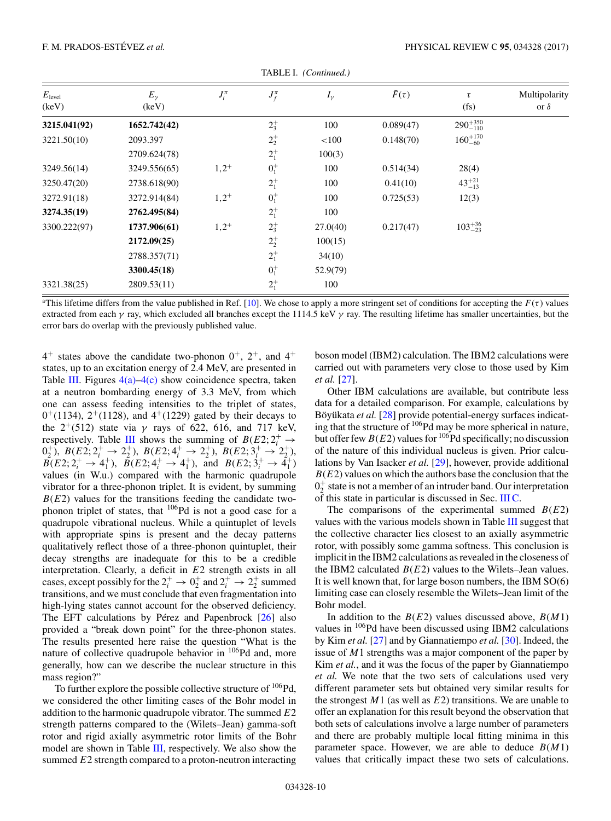<span id="page-11-0"></span>

| $E_{\text{level}}$<br>(keV) | $E_{\gamma}$<br>(keV) | $J_i^{\pi}$ | $J_f^{\pi}$ | $I_{\gamma}$ | $\bar{F}(\tau)$ | τ<br>(f <sub>S</sub> ) | Multipolarity<br>or $\delta$ |
|-----------------------------|-----------------------|-------------|-------------|--------------|-----------------|------------------------|------------------------------|
| 3215.041(92)                | 1652.742(42)          |             | $2^{+}_{3}$ | 100          | 0.089(47)       | $290^{+350}_{-110}$    |                              |
| 3221.50(10)                 | 2093.397              |             | $2^{+}_{2}$ | < 100        | 0.148(70)       | $160^{+170}_{-60}$     |                              |
|                             | 2709.624(78)          |             | $2^{+}_{1}$ | 100(3)       |                 |                        |                              |
| 3249.56(14)                 | 3249.556(65)          | $1,2^+$     | $0^{+}_{1}$ | 100          | 0.514(34)       | 28(4)                  |                              |
| 3250.47(20)                 | 2738.618(90)          |             | $2^{+}_{1}$ | 100          | 0.41(10)        | $43^{+21}_{-13}$       |                              |
| 3272.91(18)                 | 3272.914(84)          | $1,2^+$     | $0^{+}_{1}$ | 100          | 0.725(53)       | 12(3)                  |                              |
| 3274.35(19)                 | 2762.495(84)          |             | $2^{+}_{1}$ | 100          |                 |                        |                              |
| 3300.222(97)                | 1737.906(61)          | $1,2^{+}$   | $2^{+}_{3}$ | 27.0(40)     | 0.217(47)       | $103^{+36}_{-23}$      |                              |
|                             | 2172.09(25)           |             | $2^{+}_{2}$ | 100(15)      |                 |                        |                              |
|                             | 2788.357(71)          |             | $2^{+}_{1}$ | 34(10)       |                 |                        |                              |
|                             | 3300.45(18)           |             | $0^{+}_{1}$ | 52.9(79)     |                 |                        |                              |
| 3321.38(25)                 | 2809.53(11)           |             | $2^{+}_{1}$ | 100          |                 |                        |                              |

TABLE I. *(Continued.)*

This lifetime differs from the value published in Ref. [\[10\]](#page-19-0). We chose to apply a more stringent set of conditions for accepting the  $F(\tau)$  values<br>extracted from each  $\chi$  ray, which excluded all branches except the 1114.5 extracted from each  $\gamma$  ray, which excluded all branches except the 1114.5 keV  $\gamma$  ray. The resulting lifetime has smaller uncertainties, but the error bars do overlap with the previously published value.

 $4^+$  states above the candidate two-phonon  $0^+$ ,  $2^+$ , and  $4^+$ states, up to an excitation energy of 2.4 MeV, are presented in Table [III.](#page-18-0) Figures  $4(a) - 4(c)$  show coincidence spectra, taken at a neutron bombarding energy of 3.3 MeV, from which one can assess feeding intensities to the triplet of states,  $0^+(1134)$ ,  $2^+(1128)$ , and  $4^+(1229)$  gated by their decays to the 2<sup>+</sup>(512) state via  $\gamma$  rays of 622, 616, and 717 keV, respectively. Table III shows the summing of  $B(E2; 2^+_i \rightarrow$ respectively. Table [III](#page-18-0) shows the summing of  $B(E2; 2^+_i \rightarrow 0^+_2)$ ,  $B(E2; 2^+_i \rightarrow 2^+_2)$ ,  $B(E2; 4^+_i \rightarrow 2^+_2)$ ,  $B(E2; 3^+_i \rightarrow 2^+_2)$ ,  $B(E2; 2^+_i \rightarrow 2^+_2)$ ,  $B(E2; 2^+_i \rightarrow 2^+_2)$ ,  $B(E2; 2^+_i \rightarrow 2^+_2)$ ,  $B(E2; 2^+_i \rightarrow 2^+_2)$ ,  $B(E2; 2^$  $B(E2; 2_i^+ \rightarrow 4_1^+), B(E2; 4_i^+ \rightarrow 4_1^+), \text{ and } B(E2; 3_i^+ \rightarrow 4_1^+)$ <br>values (in Wu) compared with the harmonic quadrupole values (in W.u.) compared with the harmonic quadrupole vibrator for a three-phonon triplet. It is evident, by summing  $B(E2)$  values for the transitions feeding the candidate twophonon triplet of states, that  $106Pd$  is not a good case for a quadrupole vibrational nucleus. While a quintuplet of levels with appropriate spins is present and the decay patterns qualitatively reflect those of a three-phonon quintuplet, their decay strengths are inadequate for this to be a credible interpretation. Clearly, a deficit in  $E2$  strength exists in all cases, except possibly for the  $2^+_i \rightarrow 0^+_2$  and  $2^+_i \rightarrow 2^+_2$  summed<br>transitions, and we must conclude that even fragmentation into transitions, and we must conclude that even fragmentation into high-lying states cannot account for the observed deficiency. The EFT calculations by Pérez and Papenbrock [\[26\]](#page-19-0) also provided a "break down point" for the three-phonon states. The results presented here raise the question "What is the nature of collective quadrupole behavior in <sup>106</sup>Pd and, more generally, how can we describe the nuclear structure in this mass region?"

To further explore the possible collective structure of  $106Pd$ , we considered the other limiting cases of the Bohr model in addition to the harmonic quadrupole vibrator. The summed  $E2$ strength patterns compared to the (Wilets–Jean) gamma-soft rotor and rigid axially asymmetric rotor limits of the Bohr model are shown in Table [III,](#page-18-0) respectively. We also show the summed  $E2$  strength compared to a proton-neutron interacting

boson model (IBM2) calculation. The IBM2 calculations were carried out with parameters very close to those used by Kim *et al.* [\[27\]](#page-19-0).

Other IBM calculations are available, but contribute less data for a detailed comparison. For example, calculations by Böyükata *et al.* [\[28\]](#page-19-0) provide potential-energy surfaces indicating that the structure of <sup>106</sup>Pd may be more spherical in nature, but offer few  $B(E2)$  values for <sup>106</sup>Pd specifically; no discussion of the nature of this individual nucleus is given. Prior calculations by Van Isacker *et al.* [\[29\]](#page-19-0), however, provide additional  $B(E2)$  values on which the authors base the conclusion that the  $0<sub>2</sub><sup>+</sup>$  state is not a member of an intruder band. Our interpretation of this state in particular is discussed in Sec. [III C.](#page-17-0)

The comparisons of the experimental summed  $B(E2)$ values with the various models shown in Table [III](#page-18-0) suggest that the collective character lies closest to an axially asymmetric rotor, with possibly some gamma softness. This conclusion is implicit in the IBM2 calculations as revealed in the closeness of the IBM2 calculated  $B(E2)$  values to the Wilets–Jean values. It is well known that, for large boson numbers, the IBM SO(6) limiting case can closely resemble the Wilets–Jean limit of the Bohr model.

In addition to the  $B(E2)$  values discussed above,  $B(M1)$ values in 106Pd have been discussed using IBM2 calculations by Kim *et al.* [\[27\]](#page-19-0) and by Giannatiempo *et al.* [\[30\]](#page-19-0). Indeed, the issue of M1 strengths was a major component of the paper by Kim *et al.*, and it was the focus of the paper by Giannatiempo *et al.* We note that the two sets of calculations used very different parameter sets but obtained very similar results for the strongest  $M1$  (as well as  $E2$ ) transitions. We are unable to offer an explanation for this result beyond the observation that both sets of calculations involve a large number of parameters and there are probably multiple local fitting minima in this parameter space. However, we are able to deduce  $B(M1)$ values that critically impact these two sets of calculations.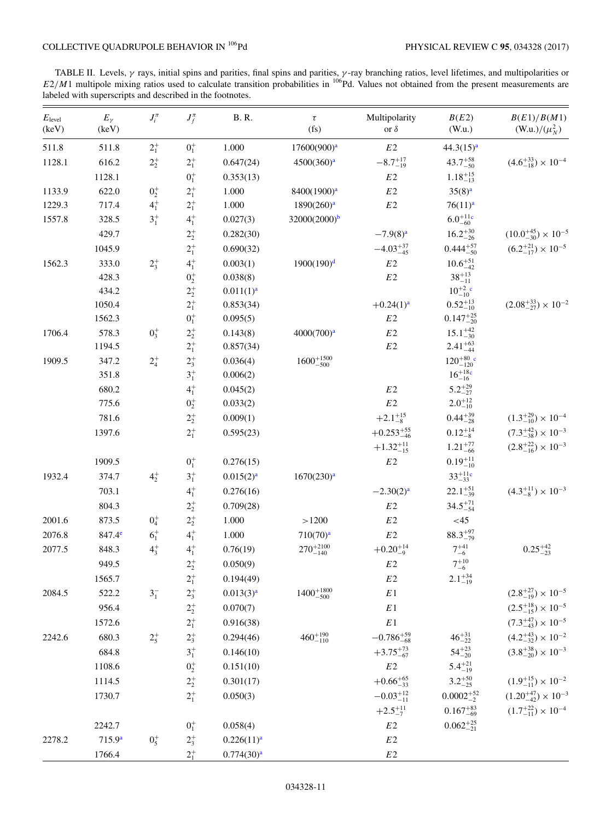<span id="page-12-0"></span>TABLE II. Levels,  $\gamma$  rays, initial spins and parities, final spins and parities,  $\gamma$ -ray branching ratios, level lifetimes, and multipolarities or  $/M$  multipolarities or  $/M$  multipolarities in  $^{106}Pd$ , Values not obt  $E2/M1$  multipole mixing ratios used to calculate transition probabilities in <sup>106</sup>Pd. Values not obtained from the present measurements are labeled with superscripts and described in the footnotes. labeled with superscripts and described in the footnotes.

| $E_{\text{level}}$<br>(keV) | $E_{\gamma}$<br>(keV) | $J_i^{\pi}$ | $J_f^{\pi}$ | <b>B.R.</b>            | $\tau$<br>(fs)          | Multipolarity<br>or $\delta$ | B(E2)<br>(W.u.)              | B(E1)/B(M1)<br>(W.u.)/ $(\mu_N^2)$  |
|-----------------------------|-----------------------|-------------|-------------|------------------------|-------------------------|------------------------------|------------------------------|-------------------------------------|
| 511.8                       | 511.8                 | $2^{+}_{1}$ | $0^{+}_{1}$ | 1.000                  | 17600(900) <sup>a</sup> | $E2$                         | $44.3(15)^a$                 |                                     |
| 1128.1                      | 616.2                 | $2^{+}_{2}$ | $2^{+}_{1}$ | 0.647(24)              | 4500(360) <sup>a</sup>  | $-8.7^{+17}_{-19}$           | $43.7^{+58}_{-50}$           | $(4.6^{+33}_{-18}) \times 10^{-4}$  |
|                             | 1128.1                |             | $0^{+}_{1}$ | 0.353(13)              |                         | E2                           | $1.18^{+15}_{-13}$           |                                     |
| 1133.9                      | 622.0                 | $0^{+}_{2}$ | $2^{+}_{1}$ | 1.000                  | 8400(1900) <sup>a</sup> | $E2\,$                       | $35(8)^{a}$                  |                                     |
| 1229.3                      | 717.4                 | $4^{+}_{1}$ | $2^{+}_{1}$ | 1.000                  | 1890(260) <sup>a</sup>  | $E2\,$                       | 76(11) <sup>a</sup>          |                                     |
| 1557.8                      | 328.5                 | $3^{+}_{1}$ | $4^{+}_{1}$ | 0.027(3)               | $32000(2000)^b$         |                              | $6.0^{+11c}_{-60}$           |                                     |
|                             | 429.7                 |             | $2^{+}_{2}$ | 0.282(30)              |                         | $-7.9(8)^{a}$                | $16.2^{+30}_{-26}$           | $(10.0^{+45}_{-30}) \times 10^{-5}$ |
|                             | 1045.9                |             | $2^{+}_{1}$ | 0.690(32)              |                         | $-4.03_{-45}^{+37}$          | $0.444_{-50}^{+57}$          | $(6.2^{+21}_{-17}) \times 10^{-5}$  |
| 1562.3                      | 333.0                 | $2^{+}_{3}$ | $4^{+}_{1}$ | 0.003(1)               | $1900(190)^d$           | $E2\,$                       | $10.6^{+51}_{-42}$           |                                     |
|                             | 428.3                 |             | $0^{+}_{2}$ | 0.038(8)               |                         | $E2\,$                       | $38^{+13}_{-11}$             |                                     |
|                             | 434.2                 |             | $2^+_2$     | 0.011(1) <sup>a</sup>  |                         |                              | $10^{+2}_{-10}$ <sup>c</sup> |                                     |
|                             | 1050.4                |             | $2^{+}_{1}$ | 0.853(34)              |                         | $+0.24(1)a$                  | $0.52_{-10}^{+13}$           | $(2.08^{+33}_{-27}) \times 10^{-2}$ |
|                             | 1562.3                |             | $0^+_1$     | 0.095(5)               |                         | $E2\,$                       | $0.147^{+25}_{-20}$          |                                     |
| 1706.4                      | 578.3                 | $0_3^+$     | $2^+_2$     | 0.143(8)               | 4000(700) <sup>a</sup>  | $E2\,$                       | $15.1_{-30}^{+42}$           |                                     |
|                             | 1194.5                |             | $2^{+}_{1}$ | 0.857(34)              |                         | $E2\,$                       | $2.41_{-44}^{+63}$           |                                     |
| 1909.5                      | 347.2                 | $2^{+}_{4}$ | $2^+_3$     | 0.036(4)               | $1600^{+1500}_{-500}$   |                              | $120^{+80}_{-120}$ c         |                                     |
|                             | 351.8                 |             | $3^{+}_{1}$ | 0.006(2)               |                         |                              | $16^{+18c}_{-16}$            |                                     |
|                             | 680.2                 |             | $4^{+}_{1}$ | 0.045(2)               |                         | $E2\,$                       | $5.2^{+29}_{-27}$            |                                     |
|                             | 775.6                 |             | $0^{+}_{2}$ | 0.033(2)               |                         | $E2\,$                       | $2.0^{+12}_{-10}$            |                                     |
|                             | 781.6                 |             | $2^+_2$     | 0.009(1)               |                         | $+2.1^{+15}_{-8}$            | $0.44_{-28}^{+39}$           | $(1.3^{+29}_{-10}) \times 10^{-4}$  |
|                             | 1397.6                |             | $2^{+}_{1}$ | 0.595(23)              |                         | $+0.253_{-46}^{+55}$         | $0.12_{-8}^{+14}$            | $(7.3^{+42}_{-38}) \times 10^{-3}$  |
|                             |                       |             |             |                        |                         | $+1.32_{-15}^{+11}$          | $1.21_{-66}^{+77}$           | $(2.8^{+22}_{-16}) \times 10^{-3}$  |
|                             | 1909.5                |             | $0^{+}_{1}$ | 0.276(15)              |                         | $E2\,$                       | $0.19_{-10}^{+11}$           |                                     |
| 1932.4                      | 374.7                 | $4^{+}_{2}$ | $3^{+}_{1}$ | 0.015(2) <sup>a</sup>  | 1670(230) <sup>a</sup>  |                              | $33^{+11c}_{-33}$            |                                     |
|                             | 703.1                 |             | $4^{+}_{1}$ | 0.276(16)              |                         | $-2.30(2)a$                  | $22.1_{-39}^{+51}$           | $(4.3^{+11}_{-8}) \times 10^{-3}$   |
|                             | 804.3                 |             | $2^+_2$     | 0.709(28)              |                         | $E2\,$                       | $34.5^{+71}_{-54}$           |                                     |
| 2001.6                      | 873.5                 | $0^{+}_{4}$ | $2^{+}_{2}$ | 1.000                  | >1200                   | $E2\,$                       | <45                          |                                     |
| 2076.8                      | 847.4 <sup>e</sup>    | $6^{+}_{1}$ | $4^{+}_{1}$ | 1.000                  | 710(70) <sup>a</sup>    | $E2\,$                       | $88.3^{+97}_{-79}$           |                                     |
| 2077.5                      | 848.3                 | $4^{+}_{3}$ | $4^{+}_{1}$ | 0.76(19)               | $270^{+2100}_{-140}$    | $+0.20_{-9}^{+14}$           | $7^{+41}_{-6}$               | $0.25_{-23}^{+42}$                  |
|                             | 949.5                 |             | $2^{+}_{2}$ | 0.050(9)               |                         | $E2\,$                       | $7^{+10}_{-6}$               |                                     |
|                             | 1565.7                |             | $2^{+}_{1}$ | 0.194(49)              |                         | $E2\,$                       | $2.1_{-19}^{+34}$            |                                     |
| 2084.5                      | 522.2                 | $3^{-}_{1}$ | $2^+_3$     | 0.013(3) <sup>a</sup>  | $1400^{+1800}_{-500}$   | $\cal E\,1$                  |                              | $(2.8^{+27}_{-19}) \times 10^{-5}$  |
|                             | 956.4                 |             | $2^+_2$     | 0.070(7)               |                         | $\mathbb{E} \hspace{.1cm} 1$ |                              | $(2.5^{+18}_{-15}) \times 10^{-5}$  |
|                             | 1572.6                |             | $2^{+}_{1}$ | 0.916(38)              |                         | $\cal E\,1$                  |                              | $(7.3^{+47}_{-43})\times10^{-5}$    |
| 2242.6                      | 680.3                 | $2^{+}_{5}$ | $2^{+}_{3}$ | 0.294(46)              | $460^{+190}_{-110}$     | $-0.786_{-68}^{+59}$         | $46^{+31}_{-22}$             | $(4.2^{+43}_{-32}) \times 10^{-2}$  |
|                             | 684.8                 |             | $3^{+}_{1}$ | 0.146(10)              |                         | $+3.75_{-67}^{+73}$          | $54^{+23}_{-20}$             | $(3.8^{+38}_{-20}) \times 10^{-3}$  |
|                             | 1108.6                |             | $0^+_2$     | 0.151(10)              |                         | $E2\,$                       | $5.4^{+21}_{-19}$            |                                     |
|                             | 1114.5                |             | $2^{+}_{2}$ | 0.301(17)              |                         | $+0.66^{+65}_{-33}$          | $3.2^{+50}_{-25}$            | $(1.9^{+15}_{-11}) \times 10^{-2}$  |
|                             | 1730.7                |             | $2^{+}_{1}$ | 0.050(3)               |                         | $-0.03_{-11}^{+12}$          | $0.0002_{-2}^{+52}$          | $(1.20^{+47}_{-42}) \times 10^{-3}$ |
|                             |                       |             |             |                        |                         | $+2.5^{+11}_{-7}$            | $0.167^{+83}_{-69}$          | $(1.7^{+22}_{-11}) \times 10^{-4}$  |
|                             | 2242.7                |             | $0^{+}_{1}$ | 0.058(4)               |                         | $E2\,$                       | $0.062_{-21}^{+25}$          |                                     |
| 2278.2                      | $715.9^{a}$           | $0^{+}_{5}$ | $2^{+}_{3}$ | 0.226(11) <sup>a</sup> |                         | $E2\,$                       |                              |                                     |
|                             | 1766.4                |             | $2^{+}_{1}$ | 0.774(30) <sup>a</sup> |                         | $E2\,$                       |                              |                                     |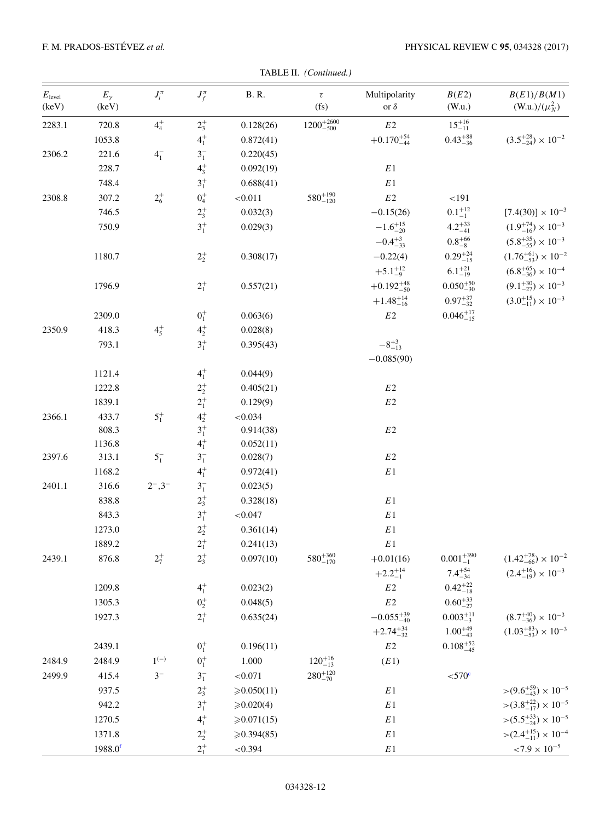| $E_{\rm level}$<br>(keV) | $E_{\gamma}$<br>(keV) | $J_i^{\pi}$              | $J_f^{\pi}$      | <b>B.</b> R. | $\tau$<br>(fs)        | Multipolarity<br>or $\delta$  | B(E2)<br>(W.u.)     | B(E1)/B(M1)<br>(W.u.)/ $(\mu_N^2)$  |
|--------------------------|-----------------------|--------------------------|------------------|--------------|-----------------------|-------------------------------|---------------------|-------------------------------------|
| 2283.1                   | 720.8                 | $4^{+}_{4}$              | $2^{+}_{3}$      | 0.128(26)    | $1200^{+2600}_{-500}$ | $E2\,$                        | $15^{+16}_{-11}$    |                                     |
|                          | 1053.8                |                          | $4^{+}_{1}$      | 0.872(41)    |                       | $+0.170^{+54}_{-44}$          | $0.43^{+88}_{-36}$  | $(3.5^{+28}_{-24}) \times 10^{-2}$  |
| 2306.2                   | 221.6                 | $4^{-}_{1}$              | $3^{-}_{1}$      | 0.220(45)    |                       |                               |                     |                                     |
|                          | 228.7                 |                          | $4^{+}_{3}$      | 0.092(19)    |                       | E1                            |                     |                                     |
|                          | 748.4                 |                          | $3^{+}_{1}$      | 0.688(41)    |                       | $E\,1$                        |                     |                                     |
| 2308.8                   | 307.2                 | $2^{+}_{6}$              | $0^+_4$          | < 0.011      | $580^{+190}_{-120}$   | $E2\,$                        | $<\!191$            |                                     |
|                          | 746.5                 |                          | $2^{+}_{3}$      | 0.032(3)     |                       | $-0.15(26)$                   | $0.1^{+12}_{-1}$    | $[7.4(30)] \times 10^{-3}$          |
|                          | 750.9                 |                          | $3^{+}_{1}$      | 0.029(3)     |                       | $-1.6^{+15}_{-20}$            | $4.2^{+33}_{-41}$   | $(1.9^{+74}_{-16}) \times 10^{-3}$  |
|                          |                       |                          |                  |              |                       | $-0.4^{+3}_{-33}$             | $0.8^{+66}_{-8}$    | $(5.8^{+35}_{-55}) \times 10^{-3}$  |
|                          | 1180.7                |                          | $2^{+}_{2}$      | 0.308(17)    |                       | $-0.22(4)$                    | $0.29_{-15}^{+24}$  | $(1.76^{+61}_{-53}) \times 10^{-2}$ |
|                          |                       |                          |                  |              |                       | $+5.1^{+12}_{-9}$             | $6.1_{-19}^{+21}$   | $(6.8^{+65}_{-36}) \times 10^{-4}$  |
|                          | 1796.9                |                          | $2^{+}_{1}$      | 0.557(21)    |                       | $+0.192_{-50}^{+48}$          | $0.050^{+50}_{-30}$ | $(9.1_{-27}^{+30}) \times 10^{-3}$  |
|                          |                       |                          |                  |              |                       | $+1.48^{+14}_{-16}$           | $0.97^{+37}_{-32}$  | $(3.0^{+15}_{-11}) \times 10^{-3}$  |
|                          | 2309.0                |                          | $0^{+}_{1}$      | 0.063(6)     |                       | $E2\,$                        | $0.046_{-15}^{+17}$ |                                     |
| 2350.9                   | 418.3                 | $4^{+}_{5}$              | $4^{+}_{2}$      | 0.028(8)     |                       |                               |                     |                                     |
|                          | 793.1                 |                          | $3^{+}_{1}$      | 0.395(43)    |                       | $-8^{+3}_{-13}$               |                     |                                     |
|                          |                       |                          |                  |              |                       | $-0.085(90)$                  |                     |                                     |
|                          | 1121.4                |                          | $4^{+}_{1}$      | 0.044(9)     |                       |                               |                     |                                     |
|                          | 1222.8                |                          | $2^{+}_{2}$      | 0.405(21)    |                       | $E2\,$                        |                     |                                     |
|                          | 1839.1                |                          | $2^{+}_{1}$      | 0.129(9)     |                       | $E2\,$                        |                     |                                     |
| 2366.1                   | 433.7                 | $5^{+}_{1}$              | $4^{+}_{2}$      | < 0.034      |                       |                               |                     |                                     |
|                          | 808.3                 |                          | $3^{+}_{1}$      | 0.914(38)    |                       | $E2\,$                        |                     |                                     |
|                          | 1136.8                |                          | $4^{+}_{1}$      | 0.052(11)    |                       |                               |                     |                                     |
| 2397.6                   | 313.1                 | $5^{-}_{1}$              | $3^{-}_{1}$      | 0.028(7)     |                       | $E2\,$                        |                     |                                     |
|                          | 1168.2                |                          | $4^{+}_{1}$      | 0.972(41)    |                       | $E\,1$                        |                     |                                     |
| 2401.1                   | 316.6                 | $2^{-}$ , 3 <sup>-</sup> | $3^{-}_{1}$      | 0.023(5)     |                       |                               |                     |                                     |
|                          | 838.8                 |                          | $2^{+}_{3}$      | 0.328(18)    |                       | $E\,1$                        |                     |                                     |
|                          | 843.3                 |                          | $3^{+}_{1}$      | < 0.047      |                       | $E\,1$                        |                     |                                     |
|                          | 1273.0                |                          | $2^{+}_{2}$      | 0.361(14)    |                       | $\mathbb E\,1$                |                     |                                     |
|                          | 1889.2                |                          | $2^{+}_{1}$      | 0.241(13)    |                       | $E\,1$                        |                     |                                     |
| 2439.1                   | 876.8                 | $2^{+}_{7}$              | $2^{+}_{3}$      | 0.097(10)    | $580^{+360}_{-170}$   | $+0.01(16)$                   | $0.001_{-1}^{+390}$ | $(1.42^{+78}_{-66}) \times 10^{-2}$ |
|                          |                       |                          |                  |              |                       | $+2.2^{+14}_{-1}$             | $7.4^{+54}_{-34}$   | $(2.4^{+16}_{-19}) \times 10^{-3}$  |
|                          | 1209.8                |                          | $4^{+}_{1}$      | 0.023(2)     |                       | E2                            | $0.42^{+22}_{-18}$  |                                     |
|                          | 1305.3                |                          | $\mathbf{0}^+_2$ | 0.048(5)     |                       | $E2\,$                        | $0.60_{-27}^{+33}$  |                                     |
|                          | 1927.3                |                          | $2^{+}_{1}$      | 0.635(24)    |                       | $-0.055_{-40}^{+39}$          | $0.003_{-3}^{+11}$  | $(8.7^{+40}_{-36}) \times 10^{-3}$  |
|                          |                       |                          |                  |              |                       | $+2.74_{-32}^{+34}$           | $1.00_{-43}^{+49}$  | $(1.03^{+83}_{-53}) \times 10^{-3}$ |
|                          | 2439.1                |                          | $0^+_1$          | 0.196(11)    |                       | $E2\,$                        | $0.108_{-45}^{+52}$ |                                     |
| 2484.9                   | 2484.9                | $1^{(-)}$                | $0^+_1$          | 1.000        | $120^{+16}_{-13}$     | (E1)                          |                     |                                     |
| 2499.9                   | 415.4                 | $3-$                     | $\mathbf{3}^-_1$ | ${<}0.071$   | $280^{+120}_{-70}$    |                               | $<$ 570 $\text{c}$  |                                     |
|                          | 937.5                 |                          | $2^{+}_{3}$      | ≥0.050(11)   |                       | $\mathbb{E} \hspace{.01cm} 1$ |                     | $>(9.6^{+59}_{-43}) \times 10^{-5}$ |
|                          | 942.2                 |                          | $3^{+}_{1}$      | ≥0.020(4)    |                       | $\mathbb E\,1$                |                     | $>(3.8^{+22}_{-17}) \times 10^{-5}$ |
|                          | 1270.5                |                          | $4^{+}_{1}$      | ≥ 0.071(15)  |                       | $E\,1$                        |                     | $>(5.5^{+33}_{-24}) \times 10^{-5}$ |
|                          | 1371.8                |                          | $2^+_2$          | ≥0.394(85)   |                       | $E\,1$                        |                     | $>(2.4^{+15}_{-11}) \times 10^{-4}$ |
|                          | $1988.0$ <sup>f</sup> |                          | $2^{+}_{1}$      | ${<}0.394$   |                       | $E\,1$                        |                     | ${<}7.9\times10^{-5}$               |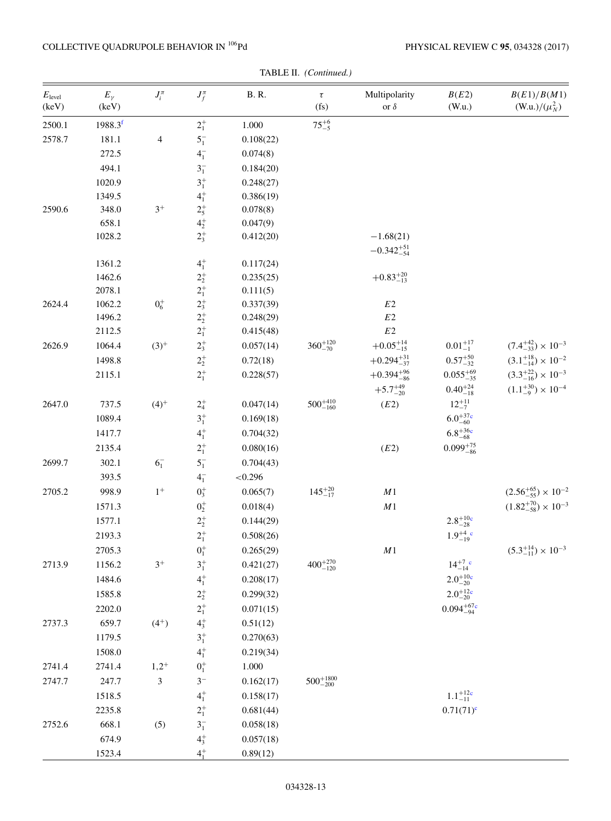## COLLECTIVE QUADRUPOLE BEHAVIOR IN  $^{106}\mathrm{Pd}$

| $E_{\text{level}}$<br>(keV) | $E_\gamma$<br>(keV)   | $J_i^{\pi}$    | $J_f^{\pi}$                | <b>B.</b> R. | $\tau$<br>(f <sub>S</sub> ) | Multipolarity<br>or $\delta$        | B(E2)<br>(W.u.)              | B(E1)/B(M1)<br>(W.u.)/ $(\mu_N^2)$  |
|-----------------------------|-----------------------|----------------|----------------------------|--------------|-----------------------------|-------------------------------------|------------------------------|-------------------------------------|
| 2500.1                      | $1988.3$ <sup>f</sup> |                | $2^+_1$                    | 1.000        | $75^{+6}_{-5}$              |                                     |                              |                                     |
| 2578.7                      | 181.1                 | 4              | $5^{-}_{1}$                | 0.108(22)    |                             |                                     |                              |                                     |
|                             | 272.5                 |                | $4^{-}_{1}$                | 0.074(8)     |                             |                                     |                              |                                     |
|                             | 494.1                 |                | $3^{-}_{1}$                | 0.184(20)    |                             |                                     |                              |                                     |
|                             | 1020.9                |                | $\mathbf{3}^+_1$           | 0.248(27)    |                             |                                     |                              |                                     |
|                             | 1349.5                |                | $4^{+}_{1}$                | 0.386(19)    |                             |                                     |                              |                                     |
| 2590.6                      | 348.0                 | $3^+$          |                            | 0.078(8)     |                             |                                     |                              |                                     |
|                             | 658.1                 |                | $2^+_5$<br>$4^+_2$         | 0.047(9)     |                             |                                     |                              |                                     |
|                             | 1028.2                |                | $2^{+}_{3}$                | 0.412(20)    |                             | $-1.68(21)$<br>$-0.342_{-54}^{+51}$ |                              |                                     |
|                             | 1361.2                |                | $4^{+}_{1}$                | 0.117(24)    |                             |                                     |                              |                                     |
|                             | 1462.6                |                | $2^+_2$<br>$2^+_1$         | 0.235(25)    |                             | $+0.83^{+20}_{-13}$                 |                              |                                     |
|                             | 2078.1                |                |                            | 0.111(5)     |                             |                                     |                              |                                     |
| 2624.4                      | 1062.2                | $0^{+}_{6}$    | $2^+_3$                    | 0.337(39)    |                             | $E2\,$                              |                              |                                     |
|                             | 1496.2                |                | $2^+_2$                    | 0.248(29)    |                             | $E2\,$                              |                              |                                     |
|                             | 2112.5                |                | $2^{+}_{1}$                | 0.415(48)    |                             | $E2\,$                              |                              |                                     |
| 2626.9                      | 1064.4                | $(3)^{+}$      | $2^{+}_{3}$                | 0.057(14)    | $360^{+120}_{-70}$          | $+0.05^{+14}_{-15}$                 | $0.01^{+17}_{-1}$            | $(7.4^{+42}_{-33}) \times 10^{-3}$  |
|                             | 1498.8                |                | $2^+_2$                    | 0.72(18)     |                             | $+0.294_{-37}^{+31}$                | $0.57^{+50}_{-32}$           | $(3.1^{+18}_{-14})\times10^{-2}$    |
|                             | 2115.1                |                | $2^{+}_{1}$                | 0.228(57)    |                             | $+0.394_{-86}^{+96}$                | $0.055_{-35}^{+69}$          | $(3.3^{+22}_{-16}) \times 10^{-3}$  |
|                             |                       |                |                            |              |                             | $+5.7^{+49}_{-20}$                  | $0.40^{+24}_{-18}$           | $(1.1_{-9}^{+30}) \times 10^{-4}$   |
| 2647.0                      | 737.5                 | $(4)^{+}$      | $2^+_4$                    | 0.047(14)    | $500^{+410}_{-160}$         | (E2)                                | $12^{+11}_{-7}$              |                                     |
|                             | 1089.4                |                | $3^{+}_{1}$                | 0.169(18)    |                             |                                     | $6.0^{+37}_{-60}$            |                                     |
|                             | 1417.7                |                | $4^{+}_{1}$                | 0.704(32)    |                             |                                     | $6.8^{+36c}_{-68}$           |                                     |
|                             | 2135.4                |                | $2^{+}_{1}$                | 0.080(16)    |                             | (E2)                                | $0.099_{-86}^{+75}$          |                                     |
| 2699.7                      | 302.1                 | $6^{-}_{1}$    | $5^{-}_{1}$                | 0.704(43)    |                             |                                     |                              |                                     |
|                             | 393.5                 |                | $4^{-}_{1}$                | < 0.296      |                             |                                     |                              |                                     |
| 2705.2                      | 998.9                 | $1^+$          | $0^{+}_{3}$                | 0.065(7)     | $145^{+20}_{-17}$           | $\cal M1$                           |                              | $(2.56^{+65}_{-55}) \times 10^{-2}$ |
|                             | 1571.3                |                | $0^+_2$                    | 0.018(4)     |                             | $\cal M1$                           |                              | $(1.82^{+70}_{-58}) \times 10^{-3}$ |
|                             | 1577.1                |                | $2^+_2$                    | 0.144(29)    |                             |                                     | $2.8^{+10c}_{-28}$           |                                     |
|                             | 2193.3                |                | $2^{+}_{1}$                | 0.508(26)    |                             |                                     | $1.9^{+4}_{-19}$ c           |                                     |
|                             | 2705.3                |                | $0^+_1$                    | 0.265(29)    |                             | $\cal M1$                           |                              | $(5.3^{+14}_{-11}) \times 10^{-3}$  |
| 2713.9                      | 1156.2                | $3^+$          | $\mathbf{3}^+_1$           | 0.421(27)    | $400^{+270}_{-120}$         |                                     | $14^{+7}_{-14}$ <sup>c</sup> |                                     |
|                             | 1484.6                |                | $4^{+}_{1}$                | 0.208(17)    |                             |                                     | $2.0^{+10}_{-20}$            |                                     |
|                             | 1585.8                |                | $2^+_2$                    | 0.299(32)    |                             |                                     | $2.0^{+12}_{-20}$            |                                     |
|                             | 2202.0                |                | $2^{+}_{1}$                | 0.071(15)    |                             |                                     | $0.094^{+67}_{-94}$          |                                     |
| 2737.3                      | 659.7                 | $(4^{+})$      | $4^{+}_{3}$<br>$3^{+}_{1}$ | 0.51(12)     |                             |                                     |                              |                                     |
|                             | 1179.5                |                |                            | 0.270(63)    |                             |                                     |                              |                                     |
|                             | 1508.0                |                | $\mathbf{4}_{1}^{+}$       | 0.219(34)    |                             |                                     |                              |                                     |
| 2741.4                      | 2741.4                | $1,2^+$        | $0^+_1$                    | 1.000        |                             |                                     |                              |                                     |
| 2747.7                      | 247.7                 | $\mathfrak{Z}$ | $3-$                       | 0.162(17)    | $500^{+1800}_{-200}$        |                                     |                              |                                     |
|                             | 1518.5                |                | $\mathbf{4}_{1}^{+}$       | 0.158(17)    |                             |                                     | $1.1_{-11}^{+12c}$           |                                     |
|                             | 2235.8                |                | $2^+_1$                    | 0.681(44)    |                             |                                     | $0.71(71)^c$                 |                                     |
| 2752.6                      | 668.1                 | (5)            | $3_1^-$                    | 0.058(18)    |                             |                                     |                              |                                     |
|                             | 674.9                 |                | $4^{+}_{3}$                | 0.057(18)    |                             |                                     |                              |                                     |
|                             | 1523.4                |                | $4^{+}_{1}$                | 0.89(12)     |                             |                                     |                              |                                     |

TABLE II. (Continued.)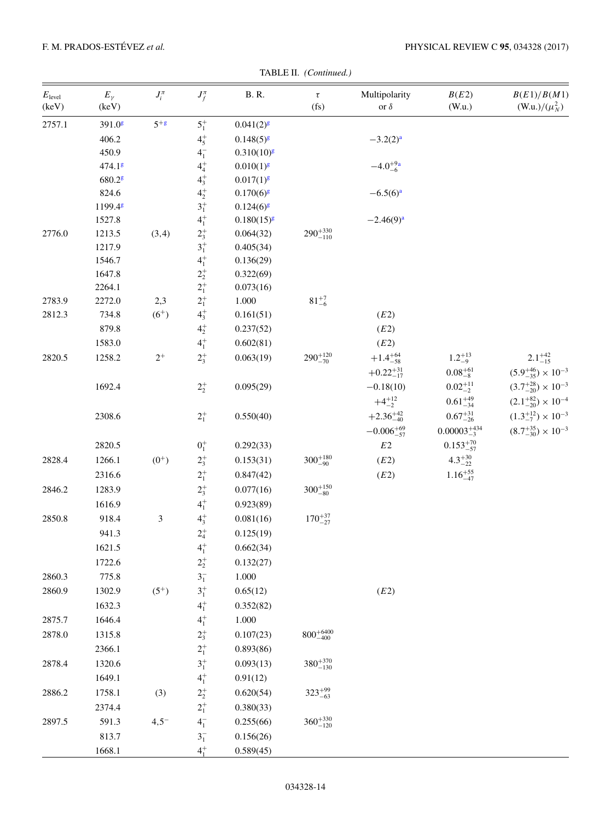| $E_{\text{level}}$<br>(keV) | $E_\gamma$<br>(keV)  | $J_i^{\pi}$ | $J_f^{\pi}$          | $\,$ B. R.      | $\tau$<br>(fs)       | Multipolarity<br>or $\delta$ | B(E2)<br>(W.u.)       | B(E1)/B(M1)<br>(W.u.)/ $(\mu_N^2)$ |
|-----------------------------|----------------------|-------------|----------------------|-----------------|----------------------|------------------------------|-----------------------|------------------------------------|
| 2757.1                      | $391.0$ g            | $5+g$       | $5^{+}_{1}$          | $0.041(2)^{g}$  |                      |                              |                       |                                    |
|                             | 406.2                |             | $4^{+}_{5}$          | $0.148(5)^{g}$  |                      | $-3.2(2)a$                   |                       |                                    |
|                             | 450.9                |             | $4^{-}_{1}$          | $0.310(10)^{g}$ |                      |                              |                       |                                    |
|                             | 474.18               |             | $\mathbf{4}_{4}^{+}$ | $0.010(1)^{g}$  |                      | $-4.0^{+9a}_{-6}$            |                       |                                    |
|                             | $680.2$ <sup>g</sup> |             | $4^{+}_{3}$          | $0.017(1)^{g}$  |                      |                              |                       |                                    |
|                             | 824.6                |             | $4^{+}_{2}$          | $0.170(6)^{g}$  |                      | $-6.5(6)^{a}$                |                       |                                    |
|                             | 1199.48              |             | $3^{+}_{1}$          | $0.124(6)^{g}$  |                      |                              |                       |                                    |
|                             | 1527.8               |             | $4^{+}_{1}$          | $0.180(15)^{g}$ |                      | $-2.46(9)^{a}$               |                       |                                    |
| 2776.0                      | 1213.5               | (3,4)       | $2^+_3$              | 0.064(32)       | $290^{+330}_{-110}$  |                              |                       |                                    |
|                             | 1217.9               |             | $3^{+}_{1}$          | 0.405(34)       |                      |                              |                       |                                    |
|                             | 1546.7               |             | $\mathbf{4}_{1}^{+}$ | 0.136(29)       |                      |                              |                       |                                    |
|                             | 1647.8               |             | $2^+_2\,$            | 0.322(69)       |                      |                              |                       |                                    |
|                             | 2264.1               |             | $2^+_1$              | 0.073(16)       |                      |                              |                       |                                    |
| 2783.9                      | 2272.0               | 2,3         | $2^{+}_{1}$          | 1.000           | $81^{+7}_{-6}$       |                              |                       |                                    |
| 2812.3                      | 734.8                | $(6^{+})$   | $4^{+}_{3}$          | 0.161(51)       |                      | (E2)                         |                       |                                    |
|                             | 879.8                |             | $\mathbf{4}_{2}^{+}$ | 0.237(52)       |                      | (E2)                         |                       |                                    |
|                             | 1583.0               |             | $\mathbf{4}_{1}^{+}$ | 0.602(81)       |                      | (E2)                         |                       |                                    |
| 2820.5                      | 1258.2               | $2^+$       | $2^{+}_{3}$          | 0.063(19)       | $290^{+120}_{-70}$   | $+1.4^{+64}_{-58}$           | $1.2^{+13}_{-9}$      | $2.1_{-15}^{+42}$                  |
|                             |                      |             |                      |                 |                      | $+0.22_{-17}^{+31}$          | $0.08^{+61}_{-8}$     | $(5.9^{+46}_{-35}) \times 10^{-3}$ |
|                             | 1692.4               |             | $2^{+}_{2}$          | 0.095(29)       |                      | $-0.18(10)$                  | $0.02_{-2}^{+11}$     | $(3.7^{+28}_{-20}) \times 10^{-3}$ |
|                             |                      |             |                      |                 |                      | $+4^{+12}_{-2}$              | $0.61_{-34}^{+49}$    | $(2.1^{+82}_{-20}) \times 10^{-4}$ |
|                             | 2308.6               |             | $2^{+}_{1}$          | 0.550(40)       |                      | $+2.36_{-40}^{+42}$          | $0.67^{+31}_{-26}$    | $(1.3^{+12}_{-7}) \times 10^{-3}$  |
|                             |                      |             |                      |                 |                      | $-0.006_{-57}^{+69}$         | $0.00003_{-3}^{+434}$ | $(8.7^{+35}_{-30}) \times 10^{-3}$ |
|                             | 2820.5               |             | $0^+_1$              | 0.292(33)       |                      | $E2\,$                       | $0.153_{-57}^{+70}$   |                                    |
| 2828.4                      | 1266.1               | $(0^{+})$   | $2^{+}_{3}$          | 0.153(31)       | $300^{+180}_{-90}$   | $\left(E2\right)$            | $4.3^{+30}_{-22}$     |                                    |
|                             | 2316.6               |             | $2^{+}_{1}$          | 0.847(42)       |                      | (E2)                         | $1.16_{-47}^{+55}$    |                                    |
| 2846.2                      | 1283.9               |             | $2^{+}_{3}$          | 0.077(16)       | $300^{+150}_{-80}$   |                              |                       |                                    |
|                             | 1616.9               |             | $\mathbf{4}_{1}^{+}$ | 0.923(89)       |                      |                              |                       |                                    |
| 2850.8                      | 918.4                | 3           | $4^{+}_{3}$          | 0.081(16)       | $170^{+37}_{-27}$    |                              |                       |                                    |
|                             | 941.3                |             | $2^{+}_{4}$          | 0.125(19)       |                      |                              |                       |                                    |
|                             | 1621.5               |             | $\mathbf{4}_{1}^{+}$ | 0.662(34)       |                      |                              |                       |                                    |
|                             | 1722.6               |             | $2^+_2$              | 0.132(27)       |                      |                              |                       |                                    |
| 2860.3                      | 775.8                |             | $3^{-}_{1}$          | $1.000\,$       |                      |                              |                       |                                    |
| 2860.9                      | 1302.9               | $(5^{+})$   | $3^{+}_{1}$          | 0.65(12)        |                      | (E2)                         |                       |                                    |
|                             | 1632.3               |             | $4^{+}_{1}$          | 0.352(82)       |                      |                              |                       |                                    |
| 2875.7                      | 1646.4               |             | $4^{+}_{1}$          | $1.000\,$       |                      |                              |                       |                                    |
| 2878.0                      | 1315.8               |             | $2^{+}_{3}$          | 0.107(23)       | $800^{+6400}_{-400}$ |                              |                       |                                    |
|                             | 2366.1               |             | $2^{+}_{1}$          | 0.893(86)       |                      |                              |                       |                                    |
| 2878.4                      | 1320.6               |             | $3^{+}_{1}$          | 0.093(13)       | $380^{+370}_{-130}$  |                              |                       |                                    |
|                             |                      |             |                      |                 |                      |                              |                       |                                    |
|                             | 1649.1               |             | $4^{+}_{1}$          | 0.91(12)        |                      |                              |                       |                                    |
| 2886.2                      | 1758.1               | (3)         | $2^+_2$              | 0.620(54)       | $323^{+99}_{-63}$    |                              |                       |                                    |
|                             | 2374.4               |             | $2^{+}_{1}$          | 0.380(33)       |                      |                              |                       |                                    |
| 2897.5                      | 591.3                | $4,5^{-}$   | $4^{-}_{1}$          | 0.255(66)       | $360^{+330}_{-120}$  |                              |                       |                                    |
|                             | 813.7                |             | $3^{-}_{1}$          | 0.156(26)       |                      |                              |                       |                                    |
|                             | 1668.1               |             | $4^{+}_{1}$          | 0.589(45)       |                      |                              |                       |                                    |

TABLE II. (Continued.)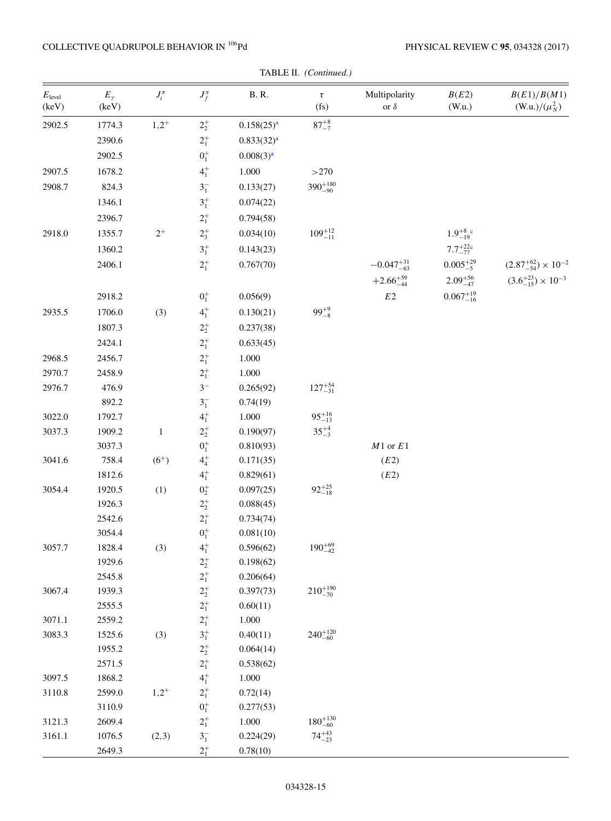## COLLECTIVE QUADRUPOLE BEHAVIOR IN  $^{106}\mathrm{Pd}$

|                             | TABLE II. (Continued.) |              |                        |                        |                             |                              |                     |                                     |  |  |
|-----------------------------|------------------------|--------------|------------------------|------------------------|-----------------------------|------------------------------|---------------------|-------------------------------------|--|--|
| $E_{\text{level}}$<br>(keV) | $E_\gamma$<br>(keV)    | $J_i^{\pi}$  | $J_f^{\pi}$            | <b>B.</b> R.           | $\tau$<br>(f <sub>S</sub> ) | Multipolarity<br>or $\delta$ | B(E2)<br>(W.u.)     | B(E1)/B(M1)<br>(W.u.)/ $(\mu_N^2)$  |  |  |
| 2902.5                      | 1774.3                 | $1,2^{+}$    | $2^{+}_{2}$            | $0.158(25)^{a}$        | $87^{+8}_{-7}$              |                              |                     |                                     |  |  |
|                             | 2390.6                 |              | $2^+_1$                | 0.833(32) <sup>a</sup> |                             |                              |                     |                                     |  |  |
|                             | 2902.5                 |              | $0^+_1$                | 0.008(3) <sup>a</sup>  |                             |                              |                     |                                     |  |  |
| 2907.5                      | 1678.2                 |              | $4^{+}_{1}$            | 1.000                  | >270                        |                              |                     |                                     |  |  |
| 2908.7                      | 824.3                  |              | $3^{-}_{1}$            | 0.133(27)              | $390^{+180}_{-90}$          |                              |                     |                                     |  |  |
|                             | 1346.1                 |              | $3^{+}_{1}$            | 0.074(22)              |                             |                              |                     |                                     |  |  |
|                             | 2396.7                 |              | $2^+_1$                | 0.794(58)              |                             |                              |                     |                                     |  |  |
| 2918.0                      | 1355.7                 | $2^+$        | $2^{+}_{3}$            | 0.034(10)              | $109^{+12}_{-11}$           |                              | $1.9^{+8}_{-19}$ c  |                                     |  |  |
|                             | 1360.2                 |              | $3^{+}_{1}$            | 0.143(23)              |                             |                              | $7.7^{+22}_{-77}$   |                                     |  |  |
|                             | 2406.1                 |              | $2^{+}_{1}$            | 0.767(70)              |                             | $-0.047_{-63}^{+31}$         | $0.005_{-5}^{+29}$  | $(2.87^{+62}_{-54}) \times 10^{-2}$ |  |  |
|                             |                        |              |                        |                        |                             | $+2.66^{+59}_{-44}$          | $2.09_{-47}^{+56}$  | $(3.6^{+23}_{-15}) \times 10^{-3}$  |  |  |
|                             | 2918.2                 |              |                        | 0.056(9)               |                             | $E2\,$                       | $0.067_{-16}^{+19}$ |                                     |  |  |
|                             |                        |              | $0^{+}_{1}$            |                        |                             |                              |                     |                                     |  |  |
| 2935.5                      | 1706.0                 | (3)          | $4^{+}_{1}$            | 0.130(21)              | $99^{+9}_{-8}$              |                              |                     |                                     |  |  |
|                             | 1807.3                 |              | $2^+_2$                | 0.237(38)              |                             |                              |                     |                                     |  |  |
|                             | 2424.1                 |              | $2^{+}_{1}$            | 0.633(45)              |                             |                              |                     |                                     |  |  |
| 2968.5                      | 2456.7                 |              | $2^{+}_{1}$            | $1.000\,$              |                             |                              |                     |                                     |  |  |
| 2970.7                      | 2458.9                 |              | $2^+_1$                | $1.000\,$              |                             |                              |                     |                                     |  |  |
| 2976.7                      | 476.9                  |              | $3-$                   | 0.265(92)              | $127^{+54}_{-31}$           |                              |                     |                                     |  |  |
|                             | 892.2                  |              | $3^{-}_{1}$            | 0.74(19)               |                             |                              |                     |                                     |  |  |
| 3022.0                      | 1792.7                 |              | $4^{+}_{1}$            | 1.000                  | $95^{+16}_{-13}$            |                              |                     |                                     |  |  |
| 3037.3                      | 1909.2                 | $\mathbf{1}$ | $2^+_2$                | 0.190(97)              | $35^{+4}_{-3}$              |                              |                     |                                     |  |  |
|                             | 3037.3                 |              | $0^+_1$                | 0.810(93)              |                             | $M1$ or $E1$                 |                     |                                     |  |  |
| 3041.6                      | 758.4                  | $(6^{+})$    | $4^{+}_{4}$            | 0.171(35)              |                             | (E2)                         |                     |                                     |  |  |
|                             | 1812.6                 |              | $4^{+}_{1}$            | 0.829(61)              |                             | (E2)                         |                     |                                     |  |  |
| 3054.4                      | 1920.5                 | (1)          | $0^+_2$                | 0.097(25)              | $92^{+25}_{-18}$            |                              |                     |                                     |  |  |
|                             | 1926.3<br>2542.6       |              | $2^+_2$<br>$2^{+}_{1}$ | 0.088(45)<br>0.734(74) |                             |                              |                     |                                     |  |  |
|                             | 3054.4                 |              | $\mathbf{0}^+_1$       | 0.081(10)              |                             |                              |                     |                                     |  |  |
| 3057.7                      | 1828.4                 | (3)          | $4^{+}_{1}$            | 0.596(62)              | $190^{+69}_{-42}$           |                              |                     |                                     |  |  |
|                             | 1929.6                 |              | $2^+_2$                | 0.198(62)              |                             |                              |                     |                                     |  |  |
|                             | 2545.8                 |              | $2^{+}_{1}$            | 0.206(64)              |                             |                              |                     |                                     |  |  |
| 3067.4                      | 1939.3                 |              | $2^+_2$                | 0.397(73)              | $210^{+190}_{-70}$          |                              |                     |                                     |  |  |
|                             | 2555.5                 |              | $2^+_1$                | 0.60(11)               |                             |                              |                     |                                     |  |  |
| 3071.1                      | 2559.2                 |              | $2^{+}_{1}$            | $1.000\,$              |                             |                              |                     |                                     |  |  |
| 3083.3                      | 1525.6                 | (3)          | $3^{+}_{1}$            | 0.40(11)               | $240^{+120}_{-60}$          |                              |                     |                                     |  |  |
|                             | 1955.2                 |              | $2^+_2$                | 0.064(14)              |                             |                              |                     |                                     |  |  |
|                             | 2571.5                 |              | $2^+_1$                | 0.538(62)              |                             |                              |                     |                                     |  |  |
| 3097.5                      | 1868.2                 |              | $\mathbf{4}_{1}^{+}$   | 1.000                  |                             |                              |                     |                                     |  |  |
| 3110.8                      | 2599.0                 | $1,2^{+}$    | $2^+_1$                | 0.72(14)               |                             |                              |                     |                                     |  |  |
|                             | 3110.9                 |              | $0^+_1$                | 0.277(53)              |                             |                              |                     |                                     |  |  |
| 3121.3                      | 2609.4                 |              | $2^+_1$                | 1.000                  | $180^{+130}_{-60}\,$        |                              |                     |                                     |  |  |
| 3161.1                      | 1076.5                 | (2,3)        | $3^{-}_{1}$            | 0.224(29)              | $74^{+43}_{-23}$            |                              |                     |                                     |  |  |
|                             | 2649.3                 |              | $2^{+}_{1}$            | 0.78(10)               |                             |                              |                     |                                     |  |  |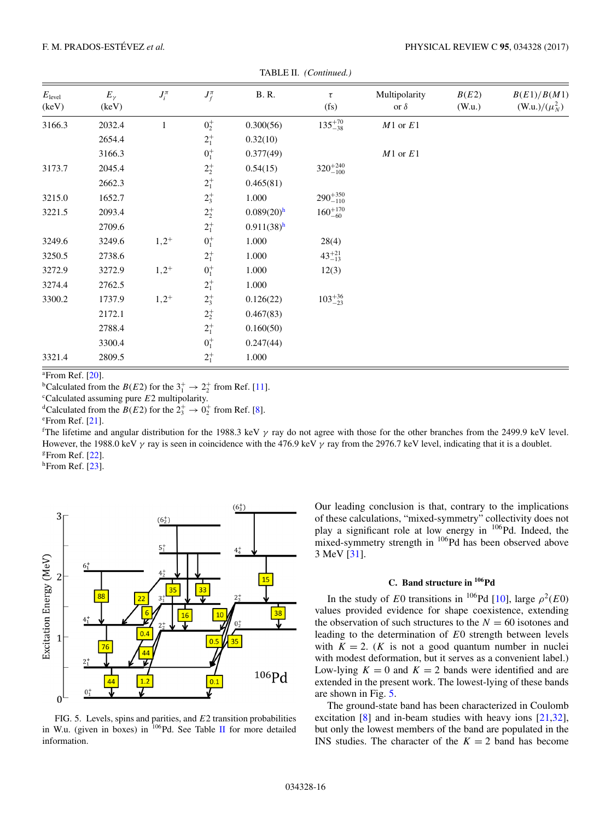<span id="page-17-0"></span>

| $E_{\text{level}}$<br>(keV) | $E_{\gamma}$<br>(keV) | $J_i^{\pi}$ | $J_f^{\pi}$ | <b>B.R.</b>              | $\tau$<br>(f <sub>S</sub> ) | Multipolarity<br>or $\delta$ | B(E2)<br>(W.u.) | B(E1)/B(M1)<br>(W.u.)/ $(\mu_N^2)$ |
|-----------------------------|-----------------------|-------------|-------------|--------------------------|-----------------------------|------------------------------|-----------------|------------------------------------|
| 3166.3                      | 2032.4                | 1           | $0^+_2$     | 0.300(56)                | $135^{+70}_{-38}$           | $M1$ or $E1$                 |                 |                                    |
|                             | 2654.4                |             | $2^{+}_{1}$ | 0.32(10)                 |                             |                              |                 |                                    |
|                             | 3166.3                |             | $0^+_1$     | 0.377(49)                |                             | $M1$ or $E1$                 |                 |                                    |
| 3173.7                      | 2045.4                |             | $2^+_2$     | 0.54(15)                 | $320^{+240}_{-100}$         |                              |                 |                                    |
|                             | 2662.3                |             | $2^{+}_{1}$ | 0.465(81)                |                             |                              |                 |                                    |
| 3215.0                      | 1652.7                |             | $2^{+}_{3}$ | 1.000                    | $290^{+350}_{-110}$         |                              |                 |                                    |
| 3221.5                      | 2093.4                |             | $2^+_2$     | $0.089(20)$ <sup>h</sup> | $160^{+170}_{-60}$          |                              |                 |                                    |
|                             | 2709.6                |             | $2^{+}_{1}$ | $0.911(38)$ <sup>h</sup> |                             |                              |                 |                                    |
| 3249.6                      | 3249.6                | $1,2^{+}$   | $0^+_1$     | 1.000                    | 28(4)                       |                              |                 |                                    |
| 3250.5                      | 2738.6                |             | $2^{+}_{1}$ | 1.000                    | $43^{+21}_{-13}$            |                              |                 |                                    |
| 3272.9                      | 3272.9                | $1,2^{+}$   | $0^+_1$     | 1.000                    | 12(3)                       |                              |                 |                                    |
| 3274.4                      | 2762.5                |             | $2^{+}_{1}$ | 1.000                    |                             |                              |                 |                                    |
| 3300.2                      | 1737.9                | $1,2^{+}$   | $2^{+}_{3}$ | 0.126(22)                | $103^{+36}_{-23}$           |                              |                 |                                    |
|                             | 2172.1                |             | $2^{+}_{2}$ | 0.467(83)                |                             |                              |                 |                                    |
|                             | 2788.4                |             | $2^{+}_{1}$ | 0.160(50)                |                             |                              |                 |                                    |
|                             | 3300.4                |             | $0^{+}_{1}$ | 0.247(44)                |                             |                              |                 |                                    |
| 3321.4                      | 2809.5                |             | $2^{+}_{1}$ | 1.000                    |                             |                              |                 |                                    |

TABLE II. *(Continued.)*

 $^{\circ}$ From Ref. [\[20\]](#page-19-0).

<sup>b</sup>Calculated from the  $B(E2)$  for the  $3^+_1 \rightarrow 2^+_2$  from Ref. [\[11\]](#page-19-0).

Calculated assuming pure E2 multipolarity.<br>
<sup>d</sup>Calculated from the B(E2) for the  $2^+_3 \rightarrow 0^+_2$  from Ref. [\[8\]](#page-19-0).<br>
<sup>e</sup>From Ref. [21]

 $e$ From Ref. [\[21\]](#page-19-0).

The lifetime and angular distribution for the 1988.3 keV  $\gamma$  ray do not agree with those for the other branches from the 2499.9 keV level.<br>However the 1988 0 keV  $\gamma$  ray is seen in coincidence with the 476.9 keV  $\gamma$  ra However, the 1988.0 keV  $\gamma$  ray is seen in coincidence with the 476.9 keV  $\gamma$  ray from the 2976.7 keV level, indicating that it is a doublet. <sup>g</sup>From Ref. [\[22\]](#page-19-0).

 $<sup>h</sup>$ From Ref. [\[23\]](#page-19-0).</sup>



FIG. 5. Levels, spins and parities, and E2 transition probabilities in W.u. (given in boxes) in  $^{106}$ Pd. See Table [II](#page-12-0) for more detailed information.

Our leading conclusion is that, contrary to the implications of these calculations, "mixed-symmetry" collectivity does not play a significant role at low energy in <sup>106</sup>Pd. Indeed, the mixed-symmetry strength in <sup>106</sup>Pd has been observed above 3 MeV [\[31\]](#page-19-0).

#### **C. Band structure in 106Pd**

In the study of E0 transitions in <sup>106</sup>Pd [\[10\]](#page-19-0), large  $\rho^2(E0)$ values provided evidence for shape coexistence, extending the observation of such structures to the  $N = 60$  isotones and leading to the determination of E0 strength between levels with  $K = 2$ . (*K* is not a good quantum number in nuclei with modest deformation, but it serves as a convenient label.) Low-lying  $K = 0$  and  $K = 2$  bands were identified and are extended in the present work. The lowest-lying of these bands are shown in Fig. 5.

The ground-state band has been characterized in Coulomb excitation [\[8\]](#page-19-0) and in-beam studies with heavy ions [\[21,32\]](#page-19-0), but only the lowest members of the band are populated in the INS studies. The character of the  $K = 2$  band has become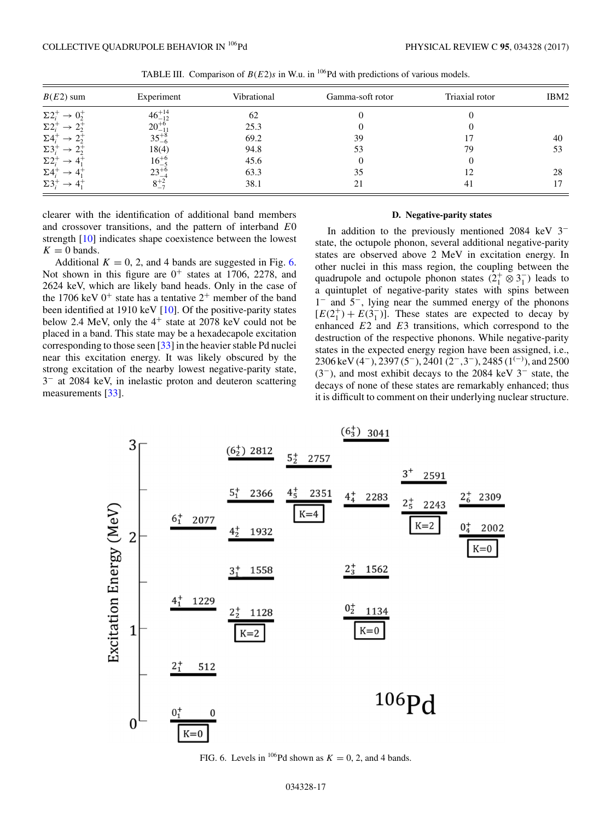<span id="page-18-0"></span>

| $B(E2)$ sum       | Experiment       | Vibrational | Gamma-soft rotor | Triaxial rotor | IBM2 |
|-------------------|------------------|-------------|------------------|----------------|------|
| $\Sigma2^+$       | $46^{+14}_{-12}$ | 62          |                  |                |      |
| $\Sigma2$         | $20^{+6}_{-11}$  | 25.3        |                  |                |      |
| $\Sigma$ 4:       | $35^{+8}_{-6}$   | 69.2        | 39               |                | 40   |
| $\Sigma$ 3        | 18(4)            | 94.8        | 53               | 79             | 53   |
| $\Sigma2_{i}^{+}$ | $16^{+6}_{-5}$   | 45.6        |                  |                |      |
| $\Sigma4$         | $23^{+6}$        | 63.3        | 35               | 12             | 28   |
| $\Sigma 3_i^-$    | $8^{+2}_{-7}$    | 38.1        | 21               | 41             |      |

TABLE III. Comparison of  $B(E2)s$  in W.u. in <sup>106</sup>Pd with predictions of various models.

clearer with the identification of additional band members and crossover transitions, and the pattern of interband E<sup>0</sup> strength [\[10\]](#page-19-0) indicates shape coexistence between the lowest  $K = 0$  bands.

Additional  $K = 0, 2$ , and 4 bands are suggested in Fig. 6. Not shown in this figure are  $0^+$  states at 1706, 2278, and 2624 keV, which are likely band heads. Only in the case of the 1706 keV  $0^+$  state has a tentative  $2^+$  member of the band been identified at 1910 keV  $[10]$ . Of the positive-parity states below 2.4 MeV, only the  $4^+$  state at 2078 keV could not be placed in a band. This state may be a hexadecapole excitation corresponding to those seen [\[33\]](#page-19-0) in the heavier stable Pd nuclei near this excitation energy. It was likely obscured by the strong excitation of the nearby lowest negative-parity state, 3<sup>−</sup> at 2084 keV, in inelastic proton and deuteron scattering measurements [\[33\]](#page-19-0).

#### **D. Negative-parity states**

In addition to the previously mentioned 2084 keV 3<sup>−</sup> state, the octupole phonon, several additional negative-parity states are observed above 2 MeV in excitation energy. In other nuclei in this mass region, the coupling between the quadrupole and octupole phonon states  $(2^+_1 \otimes 3^-_1)$  leads to a quintuplet of negative-parity states with spins between 1<sup>−</sup> and 5−, lying near the summed energy of the phonons  $[E(2_1^+) + E(3_1^-)]$ . These states are expected to decay by enhanced  $E_2$  and  $E_3$  transitions, which correspond to the enhanced  $E2$  and  $E3$  transitions, which correspond to the destruction of the respective phonons. While negative-parity states in the expected energy region have been assigned, i.e., 2306 keV (4<sup>-</sup>), 2397 (5<sup>-</sup>), 2401 (2<sup>-</sup>,3<sup>-</sup>), 2485 (1<sup>(-)</sup>), and 2500 (3<sup>-</sup>) and most exhibit decays to the 2084 keV 3<sup>-</sup> state the (3−), and most exhibit decays to the 2084 keV 3<sup>−</sup> state, the decays of none of these states are remarkably enhanced; thus it is difficult to comment on their underlying nuclear structure.



FIG. 6. Levels in <sup>106</sup>Pd shown as  $K = 0, 2$ , and 4 bands.